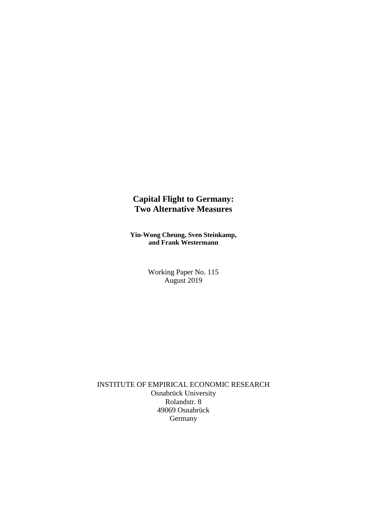## **Capital Flight to Germany: Two Alternative Measures**

**Yin-Wong Cheung, Sven Steinkamp, and Frank Westermann**

> Working Paper No. 115 August 2019

INSTITUTE OF EMPIRICAL ECONOMIC RESEARCH Osnabrück University Rolandstr. 8 49069 Osnabrück Germany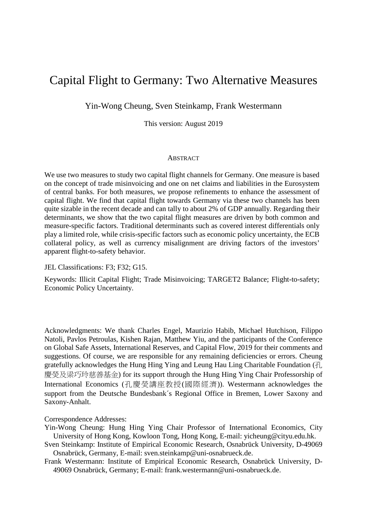# Capital Flight to Germany: Two Alternative Measures

Yin-Wong Cheung, Sven Steinkamp, Frank Westermann

This version: August 2019

#### **ABSTRACT**

We use two measures to study two capital flight channels for Germany. One measure is based on the concept of trade misinvoicing and one on net claims and liabilities in the Eurosystem of central banks. For both measures, we propose refinements to enhance the assessment of capital flight. We find that capital flight towards Germany via these two channels has been quite sizable in the recent decade and can tally to about 2% of GDP annually. Regarding their determinants, we show that the two capital flight measures are driven by both common and measure-specific factors. Traditional determinants such as covered interest differentials only play a limited role, while crisis-specific factors such as economic policy uncertainty, the ECB collateral policy, as well as currency misalignment are driving factors of the investors' apparent flight-to-safety behavior.

JEL Classifications: F3; F32; G15.

Keywords: Illicit Capital Flight; Trade Misinvoicing; TARGET2 Balance; Flight-to-safety; Economic Policy Uncertainty.

Acknowledgments: We thank Charles Engel, Maurizio Habib, Michael Hutchison, Filippo Natoli, Pavlos Petroulas, Kishen Rajan, Matthew Yiu, and the participants of the Conference on Global Safe Assets, International Reserves, and Capital Flow, 2019 for their comments and suggestions. Of course, we are responsible for any remaining deficiencies or errors. Cheung gratefully acknowledges the Hung Hing Ying and Leung Hau Ling Charitable Foundation (孔 慶熒及梁巧玲慈善基金) for its support through the Hung Hing Ying Chair Professorship of International Economics (孔慶熒講座教授(國際經濟)). Westermann acknowledges the support from the Deutsche Bundesbank´s Regional Office in Bremen, Lower Saxony and Saxony-Anhalt.

#### Correspondence Addresses:

- Yin-Wong Cheung: Hung Hing Ying Chair Professor of International Economics, City University of Hong Kong, Kowloon Tong, Hong Kong, E-mail: yicheung@cityu.edu.hk.
- Sven Steinkamp: Institute of Empirical Economic Research, Osnabrück University, D-49069 Osnabrück, Germany, E-mail: sven.steinkamp@uni-osnabrueck.de.
- Frank Westermann: Institute of Empirical Economic Research, Osnabrück University, D-49069 Osnabrück, Germany; E-mail: frank.westermann@uni-osnabrueck.de.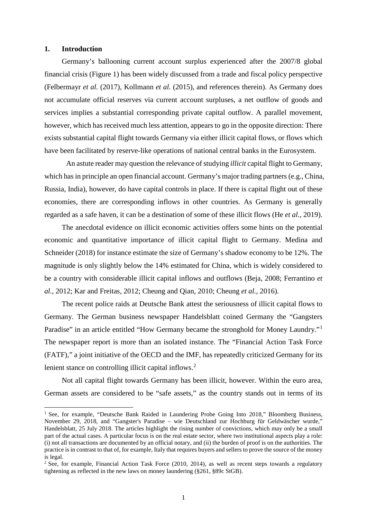#### **1. Introduction**

**.** 

Germany's ballooning current account surplus experienced after the 2007/8 global financial crisis (Figure 1) has been widely discussed from a trade and fiscal policy perspective (Felbermayr *et al.* (2017), Kollmann *et al.* (2015), and references therein). As Germany does not accumulate official reserves via current account surpluses, a net outflow of goods and services implies a substantial corresponding private capital outflow. A parallel movement, however, which has received much less attention, appears to go in the opposite direction: There exists substantial capital flight towards Germany via either illicit capital flows, or flows which have been facilitated by reserve-like operations of national central banks in the Eurosystem.

An astute reader may question the relevance of studying *illicit* capital flight to Germany, which has in principle an open financial account. Germany's major trading partners (e.g., China, Russia, India), however, do have capital controls in place. If there is capital flight out of these economies, there are corresponding inflows in other countries. As Germany is generally regarded as a safe haven, it can be a destination of some of these illicit flows (He *et al.*, 2019).

The anecdotal evidence on illicit economic activities offers some hints on the potential economic and quantitative importance of illicit capital flight to Germany. Medina and Schneider (2018) for instance estimate the size of Germany's shadow economy to be 12%. The magnitude is only slightly below the 14% estimated for China, which is widely considered to be a country with considerable illicit capital inflows and outflows (Beja, 2008; Ferrantino *et al.*, 2012; Kar and Freitas, 2012; Cheung and Qian, 2010; Cheung *et al.*, 2016).

The recent police raids at Deutsche Bank attest the seriousness of illicit capital flows to Germany. The German business newspaper Handelsblatt coined Germany the "Gangsters Paradise" in an article entitled "How Germany became the stronghold for Money Laundry."<sup>[1](#page-2-0)</sup> The newspaper report is more than an isolated instance. The "Financial Action Task Force (FATF)," a joint initiative of the OECD and the IMF, has repeatedly criticized Germany for its lenient stance on controlling illicit capital inflows.<sup>[2](#page-2-1)</sup>

Not all capital flight towards Germany has been illicit, however. Within the euro area, German assets are considered to be "safe assets," as the country stands out in terms of its

<span id="page-2-0"></span><sup>&</sup>lt;sup>1</sup> See, for example, "Deutsche Bank Raided in Laundering Probe Going Into 2018," Bloomberg Business, November 29, 2018, and "Gangster's Paradise – wie Deutschland zur Hochburg für Geldwäscher wurde," Handelsblatt, 25 July 2018. The articles highlight the rising number of convictions, which may only be a small part of the actual cases. A particular focus is on the real estate sector, where two institutional aspects play a role: (i) not all transactions are documented by an official notary, and (ii) the burden of proof is on the authorities. The practice is in contrast to that of, for example, Italy that requires buyers and sellers to prove the source of the money is legal.

<span id="page-2-1"></span><sup>&</sup>lt;sup>2</sup> See, for example, Financial Action Task Force (2010, 2014), as well as recent steps towards a regulatory tightening as reflected in the new laws on money laundering (§261, §89c StGB).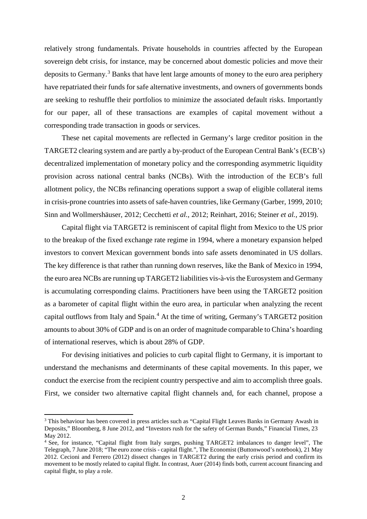relatively strong fundamentals. Private households in countries affected by the European sovereign debt crisis, for instance, may be concerned about domestic policies and move their deposits to Germany.<sup>[3](#page-3-0)</sup> Banks that have lent large amounts of money to the euro area periphery have repatriated their funds for safe alternative investments, and owners of governments bonds are seeking to reshuffle their portfolios to minimize the associated default risks. Importantly for our paper, all of these transactions are examples of capital movement without a corresponding trade transaction in goods or services.

These net capital movements are reflected in Germany's large creditor position in the TARGET2 clearing system and are partly a by-product of the European Central Bank's (ECB's) decentralized implementation of monetary policy and the corresponding asymmetric liquidity provision across national central banks (NCBs). With the introduction of the ECB's full allotment policy, the NCBs refinancing operations support a swap of eligible collateral items in crisis-prone countries into assets of safe-haven countries, like Germany (Garber, 1999, 2010; Sinn and Wollmershäuser, 2012; Cecchetti *et al.*, 2012; Reinhart, 2016; Steiner *et al.*, 2019).

Capital flight via TARGET2 is reminiscent of capital flight from Mexico to the US prior to the breakup of the fixed exchange rate regime in 1994, where a monetary expansion helped investors to convert Mexican government bonds into safe assets denominated in US dollars. The key difference is that rather than running down reserves, like the Bank of Mexico in 1994, the euro area NCBs are running up TARGET2 liabilities vis-à-vis the Eurosystem and Germany is accumulating corresponding claims. Practitioners have been using the TARGET2 position as a barometer of capital flight within the euro area, in particular when analyzing the recent capital outflows from Italy and Spain. [4](#page-3-1) At the time of writing, Germany's TARGET2 position amounts to about 30% of GDP and is on an order of magnitude comparable to China's hoarding of international reserves, which is about 28% of GDP.

For devising initiatives and policies to curb capital flight to Germany, it is important to understand the mechanisms and determinants of these capital movements. In this paper, we conduct the exercise from the recipient country perspective and aim to accomplish three goals. First, we consider two alternative capital flight channels and, for each channel, propose a

**.** 

<span id="page-3-0"></span><sup>&</sup>lt;sup>3</sup> This behaviour has been covered in press articles such as "Capital Flight Leaves Banks in Germany Awash in Deposits," Bloomberg, 8 June 2012, and "Investors rush for the safety of German Bunds," Financial Times, 23 May 2012.

<span id="page-3-1"></span><sup>4</sup> See, for instance, "Capital flight from Italy surges, pushing TARGET2 imbalances to danger level", The Telegraph, 7 June 2018; "The euro zone crisis - capital flight.", The Economist (Buttonwood's notebook), 21 May 2012. Cecioni and Ferrero (2012) dissect changes in TARGET2 during the early crisis period and confirm its movement to be mostly related to capital flight. In contrast, Auer (2014) finds both, current account financing and capital flight, to play a role.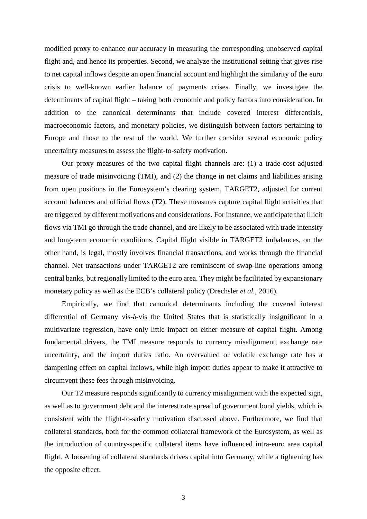modified proxy to enhance our accuracy in measuring the corresponding unobserved capital flight and, and hence its properties. Second, we analyze the institutional setting that gives rise to net capital inflows despite an open financial account and highlight the similarity of the euro crisis to well-known earlier balance of payments crises. Finally, we investigate the determinants of capital flight – taking both economic and policy factors into consideration. In addition to the canonical determinants that include covered interest differentials, macroeconomic factors, and monetary policies, we distinguish between factors pertaining to Europe and those to the rest of the world. We further consider several economic policy uncertainty measures to assess the flight-to-safety motivation.

Our proxy measures of the two capital flight channels are: (1) a trade-cost adjusted measure of trade misinvoicing (TMI), and (2) the change in net claims and liabilities arising from open positions in the Eurosystem's clearing system, TARGET2, adjusted for current account balances and official flows (T2). These measures capture capital flight activities that are triggered by different motivations and considerations. For instance, we anticipate that illicit flows via TMI go through the trade channel, and are likely to be associated with trade intensity and long-term economic conditions. Capital flight visible in TARGET2 imbalances, on the other hand, is legal, mostly involves financial transactions, and works through the financial channel. Net transactions under TARGET2 are reminiscent of swap-line operations among central banks, but regionally limited to the euro area. They might be facilitated by expansionary monetary policy as well as the ECB's collateral policy (Drechsler *et al.*, 2016).

Empirically, we find that canonical determinants including the covered interest differential of Germany vis-à-vis the United States that is statistically insignificant in a multivariate regression, have only little impact on either measure of capital flight. Among fundamental drivers, the TMI measure responds to currency misalignment, exchange rate uncertainty, and the import duties ratio. An overvalued or volatile exchange rate has a dampening effect on capital inflows, while high import duties appear to make it attractive to circumvent these fees through misinvoicing.

Our T2 measure responds significantly to currency misalignment with the expected sign, as well as to government debt and the interest rate spread of government bond yields, which is consistent with the flight-to-safety motivation discussed above. Furthermore, we find that collateral standards, both for the common collateral framework of the Eurosystem, as well as the introduction of country-specific collateral items have influenced intra-euro area capital flight. A loosening of collateral standards drives capital into Germany, while a tightening has the opposite effect.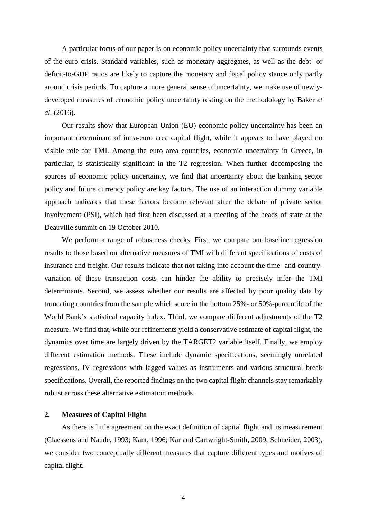A particular focus of our paper is on economic policy uncertainty that surrounds events of the euro crisis. Standard variables, such as monetary aggregates, as well as the debt- or deficit-to-GDP ratios are likely to capture the monetary and fiscal policy stance only partly around crisis periods. To capture a more general sense of uncertainty, we make use of newlydeveloped measures of economic policy uncertainty resting on the methodology by Baker *et al.* (2016).

Our results show that European Union (EU) economic policy uncertainty has been an important determinant of intra-euro area capital flight, while it appears to have played no visible role for TMI. Among the euro area countries, economic uncertainty in Greece, in particular, is statistically significant in the T2 regression. When further decomposing the sources of economic policy uncertainty, we find that uncertainty about the banking sector policy and future currency policy are key factors. The use of an interaction dummy variable approach indicates that these factors become relevant after the debate of private sector involvement (PSI), which had first been discussed at a meeting of the heads of state at the Deauville summit on 19 October 2010.

We perform a range of robustness checks. First, we compare our baseline regression results to those based on alternative measures of TMI with different specifications of costs of insurance and freight. Our results indicate that not taking into account the time- and countryvariation of these transaction costs can hinder the ability to precisely infer the TMI determinants. Second, we assess whether our results are affected by poor quality data by truncating countries from the sample which score in the bottom 25%- or 50%-percentile of the World Bank's statistical capacity index. Third, we compare different adjustments of the T2 measure. We find that, while our refinements yield a conservative estimate of capital flight, the dynamics over time are largely driven by the TARGET2 variable itself. Finally, we employ different estimation methods. These include dynamic specifications, seemingly unrelated regressions, IV regressions with lagged values as instruments and various structural break specifications. Overall, the reported findings on the two capital flight channels stay remarkably robust across these alternative estimation methods.

## **2. Measures of Capital Flight**

As there is little agreement on the exact definition of capital flight and its measurement (Claessens and Naude, 1993; Kant, 1996; Kar and Cartwright-Smith, 2009; Schneider, 2003), we consider two conceptually different measures that capture different types and motives of capital flight.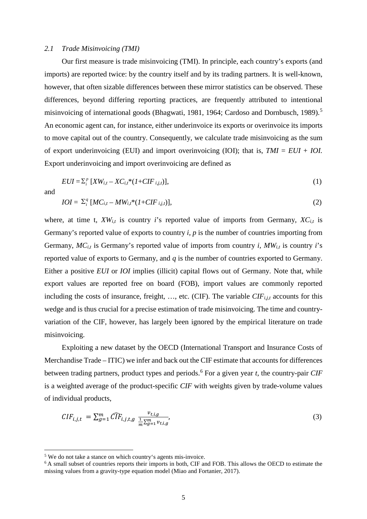#### *2.1 Trade Misinvoicing (TMI)*

Our first measure is trade misinvoicing (TMI). In principle, each country's exports (and imports) are reported twice: by the country itself and by its trading partners. It is well-known, however, that often sizable differences between these mirror statistics can be observed. These differences, beyond differing reporting practices, are frequently attributed to intentional misinvoicing of international goods (Bhagwati, 1981, 1964; Cardoso and Dornbusch, 1989).<sup>[5](#page-6-0)</sup> An economic agent can, for instance, either underinvoice its exports or overinvoice its imports to move capital out of the country. Consequently, we calculate trade misinvoicing as the sum of export underinvoicing (EUI) and import overinvoicing (IOI); that is, *TMI* = *EUI* + *IOI.*  Export underinvoicing and import overinvoicing are defined as

$$
EUI = \sum_{i}^{p} [XW_{i,t} - XC_{i,t} * (1 + CIF_{i,j,t})],
$$
\n
$$
(1)
$$

and

**.** 

$$
IOI = \sum_{i}^{q} [MC_{i,t} - MW_{i,t} * (1 + CIF_{i,j,t})],
$$
\n
$$
(2)
$$

where, at time t,  $XW_{i,t}$  is country *i*'s reported value of imports from Germany,  $XC_{i,t}$  is Germany's reported value of exports to country *i, p* is the number of countries importing from Germany,  $MC_{i,t}$  is Germany's reported value of imports from country *i*,  $MW_{i,t}$  is country *i*'s reported value of exports to Germany, and *q* is the number of countries exported to Germany. Either a positive *EUI* or *IOI* implies (illicit) capital flows out of Germany. Note that, while export values are reported free on board (FOB), import values are commonly reported including the costs of insurance, freight, ..., etc. (CIF). The variable *CIF<sub>i,j,t</sub>* accounts for this wedge and is thus crucial for a precise estimation of trade misinvoicing. The time and countryvariation of the CIF, however, has largely been ignored by the empirical literature on trade misinvoicing.

Exploiting a new dataset by the OECD (International Transport and Insurance Costs of Merchandise Trade – ITIC) we infer and back out the CIF estimate that accounts for differences between trading partners, product types and periods.[6](#page-6-1) For a given year *t*, the country-pair *CIF* is a weighted average of the product-specific *CIF* with weights given by trade-volume values of individual products,

$$
CIF_{i,j,t} = \sum_{g=1}^{m} \widehat{CIF}_{i,j,t,g} \frac{v_{t,i,g}}{\frac{1}{m} \sum_{g=1}^{m} v_{t,i,g}},
$$
\n(3)

<span id="page-6-0"></span><sup>5</sup> We do not take a stance on which country's agents mis-invoice.

<span id="page-6-1"></span><sup>&</sup>lt;sup>6</sup> A small subset of countries reports their imports in both, CIF and FOB. This allows the OECD to estimate the missing values from a gravity-type equation model (Miao and Fortanier, 2017).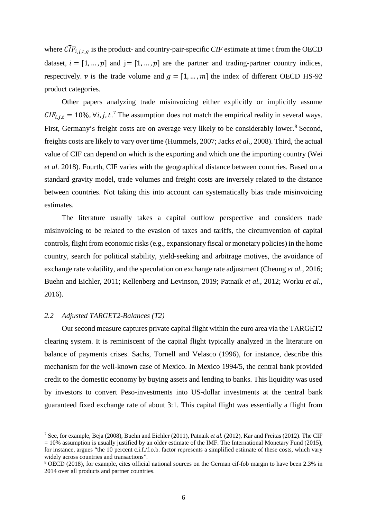where  $\widehat{CIF}_{i.i.t.a}$  is the product- and country-pair-specific  $CIF$  estimate at time t from the OECD dataset,  $i = [1, ..., p]$  and  $j = [1, ..., p]$  are the partner and trading-partner country indices, respectively.  $v$  is the trade volume and  $g = [1, ..., m]$  the index of different OECD HS-92 product categories.

Other papers analyzing trade misinvoicing either explicitly or implicitly assume  $CIF_{i,j,t} = 10\%$ ,  $\forall i, j, t$ .<sup>[7](#page-7-0)</sup> The assumption does not match the empirical reality in several ways. First, Germany's freight costs are on average very likely to be considerably lower.<sup>[8](#page-7-1)</sup> Second. freights costs are likely to vary over time (Hummels, 2007; Jacks *et al.,* 2008). Third, the actual value of CIF can depend on which is the exporting and which one the importing country (Wei *et al.* 2018). Fourth, CIF varies with the geographical distance between countries. Based on a standard gravity model, trade volumes and freight costs are inversely related to the distance between countries. Not taking this into account can systematically bias trade misinvoicing estimates.

The literature usually takes a capital outflow perspective and considers trade misinvoicing to be related to the evasion of taxes and tariffs, the circumvention of capital controls, flight from economic risks(e.g., expansionary fiscal or monetary policies) in the home country, search for political stability, yield-seeking and arbitrage motives, the avoidance of exchange rate volatility, and the speculation on exchange rate adjustment (Cheung *et al.*, 2016; Buehn and Eichler, 2011; Kellenberg and Levinson, 2019; Patnaik *et al.*, 2012; Worku *et al.*, 2016).

### *2.2 Adjusted TARGET2-Balances (T2)*

**.** 

Our second measure captures private capital flight within the euro area via the TARGET2 clearing system. It is reminiscent of the capital flight typically analyzed in the literature on balance of payments crises. Sachs, Tornell and Velasco (1996), for instance, describe this mechanism for the well-known case of Mexico. In Mexico 1994/5, the central bank provided credit to the domestic economy by buying assets and lending to banks. This liquidity was used by investors to convert Peso-investments into US-dollar investments at the central bank guaranteed fixed exchange rate of about 3:1. This capital flight was essentially a flight from

<span id="page-7-0"></span><sup>7</sup> See, for example, Beja (2008), Buehn and Eichler (2011), Patnaik *et al.* (2012), Kar and Freitas (2012). The CIF  $= 10\%$  assumption is usually justified by an older estimate of the IMF. The International Monetary Fund (2015), for instance, argues "the 10 percent c.i.f./f.o.b. factor represents a simplified estimate of these costs, which vary widely across countries and transactions".

<span id="page-7-1"></span><sup>8</sup> OECD (2018), for example, cites official national sources on the German cif-fob margin to have been 2.3% in 2014 over all products and partner countries.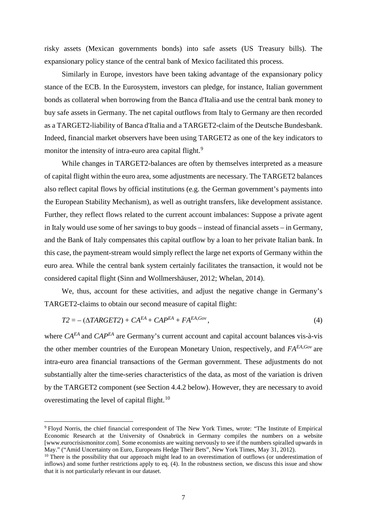risky assets (Mexican governments bonds) into safe assets (US Treasury bills). The expansionary policy stance of the central bank of Mexico facilitated this process.

Similarly in Europe, investors have been taking advantage of the expansionary policy stance of the ECB. In the Eurosystem, investors can pledge, for instance, Italian government bonds as collateral when borrowing from the Banca d'Italia and use the central bank money to buy safe assets in Germany. The net capital outflows from Italy to Germany are then recorded as a TARGET2-liability of Banca d'Italia and a TARGET2-claim of the Deutsche Bundesbank. Indeed, financial market observers have been using TARGET2 as one of the key indicators to monitor the intensity of intra-euro area capital flight.<sup>[9](#page-8-0)</sup>

While changes in TARGET2-balances are often by themselves interpreted as a measure of capital flight within the euro area, some adjustments are necessary. The TARGET2 balances also reflect capital flows by official institutions (e.g. the German government's payments into the European Stability Mechanism), as well as outright transfers, like development assistance. Further, they reflect flows related to the current account imbalances: Suppose a private agent in Italy would use some of her savings to buy goods – instead of financial assets – in Germany, and the Bank of Italy compensates this capital outflow by a loan to her private Italian bank. In this case, the payment-stream would simply reflect the large net exports of Germany within the euro area. While the central bank system certainly facilitates the transaction, it would not be considered capital flight (Sinn and Wollmershäuser, 2012; Whelan, 2014).

We, thus, account for these activities, and adjust the negative change in Germany's TARGET2-claims to obtain our second measure of capital flight:

$$
T2 = -(\Delta TARGET2) + CA^{EA} + CAP^{EA} + FA^{EA, Gov}, \qquad (4)
$$

where  $CA^{EA}$  and  $CAP^{EA}$  are Germany's current account and capital account balances vis-à-vis the other member countries of the European Monetary Union, respectively, and *FAEA,Gov* are intra-euro area financial transactions of the German government. These adjustments do not substantially alter the time-series characteristics of the data, as most of the variation is driven by the TARGET2 component (see Section 4.4.2 below). However, they are necessary to avoid overestimating the level of capital flight.<sup>[10](#page-8-1)</sup>

 $\overline{a}$ 

<span id="page-8-0"></span><sup>9</sup> Floyd Norris, the chief financial correspondent of The New York Times, wrote: "The Institute of Empirical Economic Research at the University of Osnabrück in Germany compiles the numbers on a website [www.eurocrisismonitor.com]. Some economists are waiting nervously to see if the numbers spiralled upwards in May." ("Amid Uncertainty on Euro, Europeans Hedge Their Bets", New York Times, May 31, 2012).

<span id="page-8-1"></span><sup>&</sup>lt;sup>10</sup> There is the possibility that our approach might lead to an overestimation of outflows (or underestimation of inflows) and some further restrictions apply to eq. (4). In the robustness section, we discuss this issue and show that it is not particularly relevant in our dataset.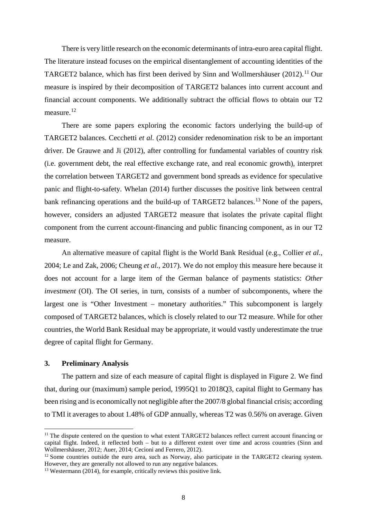There is very little research on the economic determinants of intra-euro area capital flight. The literature instead focuses on the empirical disentanglement of accounting identities of the TARGET2 balance, which has first been derived by Sinn and Wollmershäuser  $(2012)$ .<sup>[11](#page-9-0)</sup> Our measure is inspired by their decomposition of TARGET2 balances into current account and financial account components. We additionally subtract the official flows to obtain our T2 measure.<sup>[12](#page-9-1)</sup>

There are some papers exploring the economic factors underlying the build-up of TARGET2 balances. Cecchetti *et al.* (2012) consider redenomination risk to be an important driver. De Grauwe and Ji (2012), after controlling for fundamental variables of country risk (i.e. government debt, the real effective exchange rate, and real economic growth), interpret the correlation between TARGET2 and government bond spreads as evidence for speculative panic and flight-to-safety. Whelan (2014) further discusses the positive link between central bank refinancing operations and the build-up of TARGET2 balances.<sup>[13](#page-9-2)</sup> None of the papers, however, considers an adjusted TARGET2 measure that isolates the private capital flight component from the current account-financing and public financing component, as in our T2 measure.

An alternative measure of capital flight is the World Bank Residual (e.g., Collier *et al.*, 2004; Le and Zak, 2006; Cheung *et al.*, 2017). We do not employ this measure here because it does not account for a large item of the German balance of payments statistics: *Other investment* (OI). The OI series, in turn, consists of a number of subcomponents, where the largest one is "Other Investment – monetary authorities." This subcomponent is largely composed of TARGET2 balances, which is closely related to our T2 measure. While for other countries, the World Bank Residual may be appropriate, it would vastly underestimate the true degree of capital flight for Germany.

## **3. Preliminary Analysis**

**.** 

The pattern and size of each measure of capital flight is displayed in Figure 2. We find that, during our (maximum) sample period, 1995Q1 to 2018Q3, capital flight to Germany has been rising and is economically not negligible after the 2007/8 global financial crisis; according to TMI it averages to about 1.48% of GDP annually, whereas T2 was 0.56% on average. Given

<span id="page-9-0"></span><sup>&</sup>lt;sup>11</sup> The dispute centered on the question to what extent TARGET2 balances reflect current account financing or capital flight. Indeed, it reflected both – but to a different extent over time and across countries (Sinn and Wollmershäuser, 2012; Auer, 2014; Cecioni and Ferrero, 2012).

<span id="page-9-1"></span> $12$  Some countries outside the euro area, such as Norway, also participate in the TARGET2 clearing system. However, they are generally not allowed to run any negative balances.

<span id="page-9-2"></span> $13$  Westermann (2014), for example, critically reviews this positive link.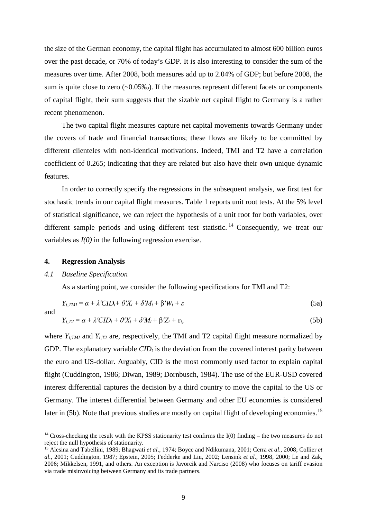the size of the German economy, the capital flight has accumulated to almost 600 billion euros over the past decade, or 70% of today's GDP. It is also interesting to consider the sum of the measures over time. After 2008, both measures add up to 2.04% of GDP; but before 2008, the sum is quite close to zero (~0.05‰). If the measures represent different facets or components of capital flight, their sum suggests that the sizable net capital flight to Germany is a rather recent phenomenon.

The two capital flight measures capture net capital movements towards Germany under the covers of trade and financial transactions; these flows are likely to be committed by different clienteles with non-identical motivations. Indeed, TMI and T2 have a correlation coefficient of 0.265; indicating that they are related but also have their own unique dynamic features.

In order to correctly specify the regressions in the subsequent analysis, we first test for stochastic trends in our capital flight measures. Table 1 reports unit root tests. At the 5% level of statistical significance, we can reject the hypothesis of a unit root for both variables, over different sample periods and using different test statistic.<sup>[14](#page-10-0)</sup> Consequently, we treat our variables as *I(0)* in the following regression exercise.

#### **4. Regression Analysis**

### *4.1 Baseline Specification*

As a starting point, we consider the following specifications for TMI and T2:

$$
Y_{t,TMI} = \alpha + \lambda'CID_t + \theta'X_t + \delta'M_t + \beta'W_t + \varepsilon
$$
\n(5a)

and

**.** 

$$
Y_{t,T2} = \alpha + \lambda' CID_t + \theta' X_t + \delta' M_t + \beta' Z_t + \varepsilon_t, \tag{5b}
$$

where  $Y_{t,TMI}$  and  $Y_{t,T2}$  are, respectively, the TMI and T2 capital flight measure normalized by GDP. The explanatory variable  $CID<sub>t</sub>$  is the deviation from the covered interest parity between the euro and US-dollar. Arguably, CID is the most commonly used factor to explain capital flight (Cuddington, 1986; Diwan, 1989; Dornbusch, 1984). The use of the EUR-USD covered interest differential captures the decision by a third country to move the capital to the US or Germany. The interest differential between Germany and other EU economies is considered later in (5b). Note that previous studies are mostly on capital flight of developing economies.<sup>[15](#page-10-1)</sup>

<span id="page-10-0"></span> $14$  Cross-checking the result with the KPSS stationarity test confirms the I(0) finding – the two measures do not reject the null hypothesis of stationarity.

<span id="page-10-1"></span><sup>15</sup> Alesina and Tabellini, 1989; Bhagwati *et al*., 1974; Boyce and Ndikumana, 2001; Cerra *et al*., 2008; Collier *et al*., 2001; Cuddington, 1987; Epstein, 2005; Fedderke and Liu, 2002; Lensink *et al.,* 1998, 2000; Le and Zak, 2006; Mikkelsen, 1991, and others. An exception is Javorcik and Narciso (2008) who focuses on tariff evasion via trade misinvoicing between Germany and its trade partners.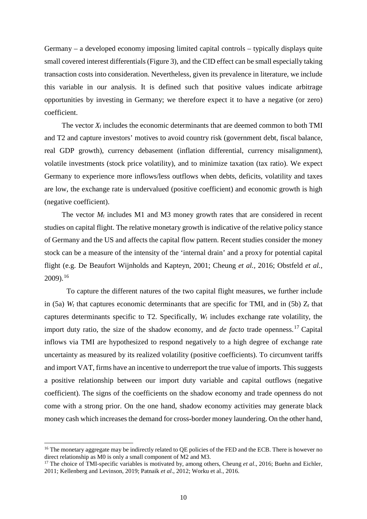Germany – a developed economy imposing limited capital controls – typically displays quite small covered interest differentials (Figure 3), and the CID effect can be small especially taking transaction costs into consideration. Nevertheless, given its prevalence in literature, we include this variable in our analysis. It is defined such that positive values indicate arbitrage opportunities by investing in Germany; we therefore expect it to have a negative (or zero) coefficient.

The vector *Xt* includes the economic determinants that are deemed common to both TMI and T2 and capture investors' motives to avoid country risk (government debt, fiscal balance, real GDP growth), currency debasement (inflation differential, currency misalignment), volatile investments (stock price volatility), and to minimize taxation (tax ratio). We expect Germany to experience more inflows/less outflows when debts, deficits, volatility and taxes are low, the exchange rate is undervalued (positive coefficient) and economic growth is high (negative coefficient).

The vector  $M_t$  includes M1 and M3 money growth rates that are considered in recent studies on capital flight. The relative monetary growth is indicative of the relative policy stance of Germany and the US and affects the capital flow pattern. Recent studies consider the money stock can be a measure of the intensity of the 'internal drain' and a proxy for potential capital flight (e.g. De Beaufort Wijnholds and Kapteyn, 2001; Cheung *et al.,* 2016; Obstfeld *et al.,*  2009).[16](#page-11-0)

To capture the different natures of the two capital flight measures, we further include in (5a)  $W_t$  that captures economic determinants that are specific for TMI, and in (5b)  $Z_t$  that captures determinants specific to T2. Specifically, *Wt* includes exchange rate volatility, the import duty ratio, the size of the shadow economy, and *de facto* trade openness.[17](#page-11-1) Capital inflows via TMI are hypothesized to respond negatively to a high degree of exchange rate uncertainty as measured by its realized volatility (positive coefficients). To circumvent tariffs and import VAT, firms have an incentive to underreport the true value of imports. This suggests a positive relationship between our import duty variable and capital outflows (negative coefficient). The signs of the coefficients on the shadow economy and trade openness do not come with a strong prior. On the one hand, shadow economy activities may generate black money cash which increases the demand for cross-border money laundering. On the other hand,

**.** 

<span id="page-11-0"></span><sup>&</sup>lt;sup>16</sup> The monetary aggregate may be indirectly related to QE policies of the FED and the ECB. There is however no direct relationship as M0 is only a small component of M2 and M3.

<span id="page-11-1"></span><sup>&</sup>lt;sup>17</sup> The choice of TMI-specific variables is motivated by, among others, Cheung *et al.*, 2016; Buehn and Eichler, 2011; Kellenberg and Levinson, 2019; Patnaik *et al*., 2012; Worku et al., 2016.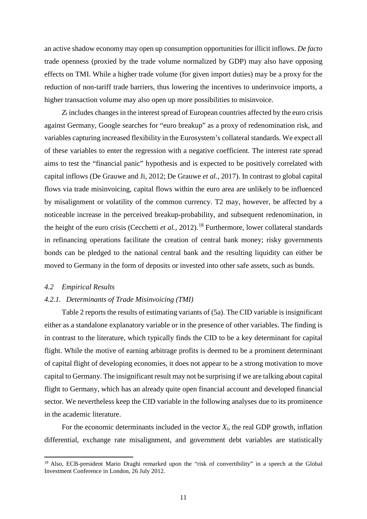an active shadow economy may open up consumption opportunities for illicit inflows. *De facto* trade openness (proxied by the trade volume normalized by GDP) may also have opposing effects on TMI. While a higher trade volume (for given import duties) may be a proxy for the reduction of non-tariff trade barriers, thus lowering the incentives to underinvoice imports, a higher transaction volume may also open up more possibilities to misinvoice.

 $Z_t$  includes changes in the interest spread of European countries affected by the euro crisis against Germany, Google searches for "euro breakup" as a proxy of redenomination risk, and variables capturing increased flexibility in the Eurosystem's collateral standards. We expect all of these variables to enter the regression with a negative coefficient. The interest rate spread aims to test the "financial panic" hypothesis and is expected to be positively correlated with capital inflows (De Grauwe and Ji, 2012; De Grauwe *et al.*, 2017). In contrast to global capital flows via trade misinvoicing, capital flows within the euro area are unlikely to be influenced by misalignment or volatility of the common currency. T2 may, however, be affected by a noticeable increase in the perceived breakup-probability, and subsequent redenomination, in the height of the euro crisis (Cecchetti *et al.*, 2012).<sup>[18](#page-12-0)</sup> Furthermore, lower collateral standards in refinancing operations facilitate the creation of central bank money; risky governments bonds can be pledged to the national central bank and the resulting liquidity can either be moved to Germany in the form of deposits or invested into other safe assets, such as bunds.

#### *4.2 Empirical Results*

**.** 

## *4.2.1. Determinants of Trade Misinvoicing (TMI)*

Table 2 reports the results of estimating variants of (5a). The CID variable is insignificant either as a standalone explanatory variable or in the presence of other variables. The finding is in contrast to the literature, which typically finds the CID to be a key determinant for capital flight. While the motive of earning arbitrage profits is deemed to be a prominent determinant of capital flight of developing economies, it does not appear to be a strong motivation to move capital to Germany. The insignificant result may not be surprising if we are talking about capital flight to Germany, which has an already quite open financial account and developed financial sector. We nevertheless keep the CID variable in the following analyses due to its prominence in the academic literature.

For the economic determinants included in the vector  $X_t$ , the real GDP growth, inflation differential, exchange rate misalignment, and government debt variables are statistically

<span id="page-12-0"></span><sup>&</sup>lt;sup>18</sup> Also, ECB-president Mario Draghi remarked upon the "risk of convertibility" in a speech at the Global Investment Conference in London, 26 July 2012.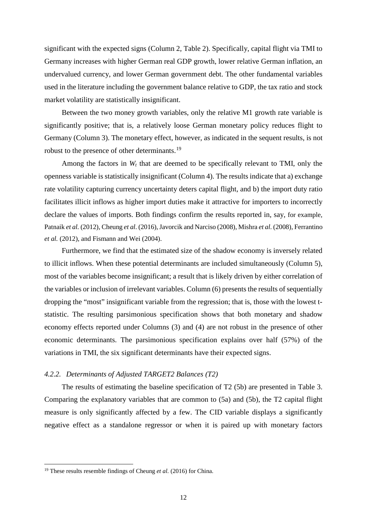significant with the expected signs (Column 2, Table 2). Specifically, capital flight via TMI to Germany increases with higher German real GDP growth, lower relative German inflation, an undervalued currency, and lower German government debt. The other fundamental variables used in the literature including the government balance relative to GDP, the tax ratio and stock market volatility are statistically insignificant.

Between the two money growth variables, only the relative M1 growth rate variable is significantly positive; that is, a relatively loose German monetary policy reduces flight to Germany (Column 3). The monetary effect, however, as indicated in the sequent results, is not robust to the presence of other determinants.[19](#page-13-0)

Among the factors in  $W_t$  that are deemed to be specifically relevant to TMI, only the openness variable is statistically insignificant (Column 4). The results indicate that a) exchange rate volatility capturing currency uncertainty deters capital flight, and b) the import duty ratio facilitates illicit inflows as higher import duties make it attractive for importers to incorrectly declare the values of imports. Both findings confirm the results reported in, say, for example, Patnaik *et al.* (2012), Cheung *et al*. (2016), Javorcik and Narciso (2008), Mishra *et al*. (2008), Ferrantino *et al.* (2012), and Fismann and Wei (2004).

Furthermore, we find that the estimated size of the shadow economy is inversely related to illicit inflows. When these potential determinants are included simultaneously (Column 5), most of the variables become insignificant; a result that is likely driven by either correlation of the variables or inclusion of irrelevant variables. Column (6) presents the results of sequentially dropping the "most" insignificant variable from the regression; that is, those with the lowest tstatistic. The resulting parsimonious specification shows that both monetary and shadow economy effects reported under Columns (3) and (4) are not robust in the presence of other economic determinants. The parsimonious specification explains over half (57%) of the variations in TMI, the six significant determinants have their expected signs.

## *4.2.2. Determinants of Adjusted TARGET2 Balances (T2)*

The results of estimating the baseline specification of T2 (5b) are presented in Table 3. Comparing the explanatory variables that are common to (5a) and (5b), the T2 capital flight measure is only significantly affected by a few. The CID variable displays a significantly negative effect as a standalone regressor or when it is paired up with monetary factors

 $\overline{a}$ 

<span id="page-13-0"></span><sup>19</sup> These results resemble findings of Cheung *et al.* (2016) for China.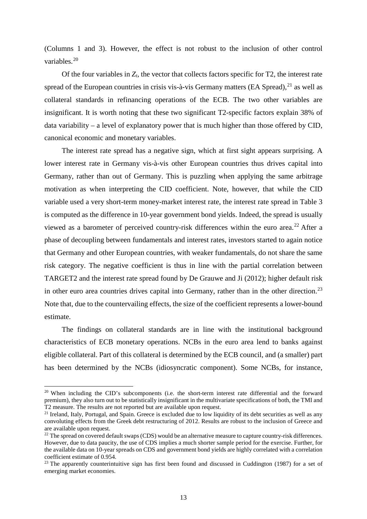(Columns 1 and 3). However, the effect is not robust to the inclusion of other control variables. [20](#page-14-0)

Of the four variables in  $Z_t$ , the vector that collects factors specific for T2, the interest rate spread of the European countries in crisis vis-à-vis Germany matters (EA Spread),<sup>[21](#page-14-1)</sup> as well as collateral standards in refinancing operations of the ECB. The two other variables are insignificant. It is worth noting that these two significant T2-specific factors explain 38% of data variability – a level of explanatory power that is much higher than those offered by CID, canonical economic and monetary variables.

The interest rate spread has a negative sign, which at first sight appears surprising. A lower interest rate in Germany vis-à-vis other European countries thus drives capital into Germany, rather than out of Germany. This is puzzling when applying the same arbitrage motivation as when interpreting the CID coefficient. Note, however, that while the CID variable used a very short-term money-market interest rate, the interest rate spread in Table 3 is computed as the difference in 10-year government bond yields. Indeed, the spread is usually viewed as a barometer of perceived country-risk differences within the euro area.<sup>[22](#page-14-2)</sup> After a phase of decoupling between fundamentals and interest rates, investors started to again notice that Germany and other European countries, with weaker fundamentals, do not share the same risk category. The negative coefficient is thus in line with the partial correlation between TARGET2 and the interest rate spread found by De Grauwe and Ji (2012); higher default risk in other euro area countries drives capital into Germany, rather than in the other direction.<sup>[23](#page-14-3)</sup> Note that, due to the countervailing effects, the size of the coefficient represents a lower-bound estimate.

The findings on collateral standards are in line with the institutional background characteristics of ECB monetary operations. NCBs in the euro area lend to banks against eligible collateral. Part of this collateral is determined by the ECB council, and (a smaller) part has been determined by the NCBs (idiosyncratic component). Some NCBs, for instance,

**.** 

<span id="page-14-0"></span><sup>&</sup>lt;sup>20</sup> When including the CID's subcomponents (i.e. the short-term interest rate differential and the forward premium), they also turn out to be statistically insignificant in the multivariate specifications of both, the TMI and T2 measure. The results are not reported but are available upon request.

<span id="page-14-1"></span> $21$  Ireland, Italy, Portugal, and Spain. Greece is excluded due to low liquidity of its debt securities as well as any convoluting effects from the Greek debt restructuring of 2012. Results are robust to the inclusion of Greece and are available upon request.

<span id="page-14-2"></span><sup>&</sup>lt;sup>22</sup> The spread on covered default swaps (CDS) would be an alternative measure to capture country-risk differences. However, due to data paucity, the use of CDS implies a much shorter sample period for the exercise. Further, for the available data on 10-year spreads on CDS and government bond yields are highly correlated with a correlation coefficient estimate of 0.954.

<span id="page-14-3"></span><sup>&</sup>lt;sup>23</sup> The apparently counterintuitive sign has first been found and discussed in Cuddington (1987) for a set of emerging market economies.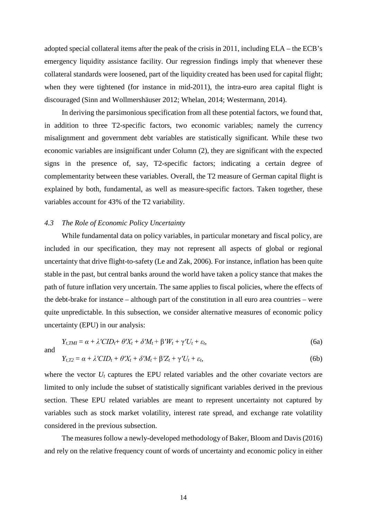adopted special collateral items after the peak of the crisis in 2011, including ELA – the ECB's emergency liquidity assistance facility. Our regression findings imply that whenever these collateral standards were loosened, part of the liquidity created has been used for capital flight; when they were tightened (for instance in mid-2011), the intra-euro area capital flight is discouraged (Sinn and Wollmershäuser 2012; Whelan, 2014; Westermann, 2014).

In deriving the parsimonious specification from all these potential factors, we found that, in addition to three T2-specific factors, two economic variables; namely the currency misalignment and government debt variables are statistically significant. While these two economic variables are insignificant under Column (2), they are significant with the expected signs in the presence of, say, T2-specific factors; indicating a certain degree of complementarity between these variables. Overall, the T2 measure of German capital flight is explained by both, fundamental, as well as measure-specific factors. Taken together, these variables account for 43% of the T2 variability.

## *4.3 The Role of Economic Policy Uncertainty*

While fundamental data on policy variables, in particular monetary and fiscal policy, are included in our specification, they may not represent all aspects of global or regional uncertainty that drive flight-to-safety (Le and Zak, 2006). For instance, inflation has been quite stable in the past, but central banks around the world have taken a policy stance that makes the path of future inflation very uncertain. The same applies to fiscal policies, where the effects of the debt-brake for instance – although part of the constitution in all euro area countries – were quite unpredictable. In this subsection, we consider alternative measures of economic policy uncertainty (EPU) in our analysis:

$$
Y_{t,TMI} = \alpha + \lambda'CID_{t} + \theta'X_{t} + \delta'M_{t} + \beta'W_{t} + \gamma'U_{t} + \varepsilon_{t},
$$
\n(6a)

$$
Y_{t,T2} = \alpha + \lambda' CID_t + \theta' X_t + \delta' M_t + \beta' Z_t + \gamma' U_t + \varepsilon_t,
$$
\n(6b)

where the vector  $U_t$  captures the EPU related variables and the other covariate vectors are limited to only include the subset of statistically significant variables derived in the previous section. These EPU related variables are meant to represent uncertainty not captured by variables such as stock market volatility, interest rate spread, and exchange rate volatility considered in the previous subsection.

The measures follow a newly-developed methodology of Baker, Bloom and Davis(2016) and rely on the relative frequency count of words of uncertainty and economic policy in either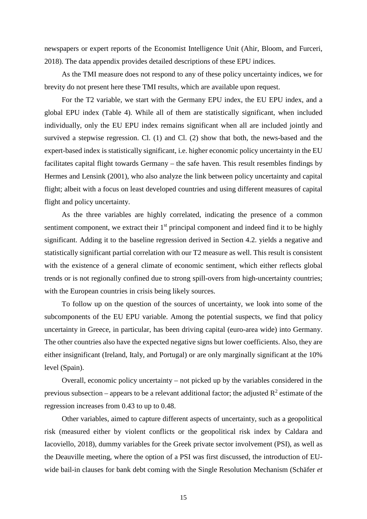newspapers or expert reports of the Economist Intelligence Unit (Ahir, Bloom, and Furceri, 2018). The data appendix provides detailed descriptions of these EPU indices.

As the TMI measure does not respond to any of these policy uncertainty indices, we for brevity do not present here these TMI results, which are available upon request.

For the T2 variable, we start with the Germany EPU index, the EU EPU index, and a global EPU index (Table 4). While all of them are statistically significant, when included individually, only the EU EPU index remains significant when all are included jointly and survived a stepwise regression. Cl. (1) and Cl. (2) show that both, the news-based and the expert-based index is statistically significant, i.e. higher economic policy uncertainty in the EU facilitates capital flight towards Germany – the safe haven. This result resembles findings by Hermes and Lensink (2001), who also analyze the link between policy uncertainty and capital flight; albeit with a focus on least developed countries and using different measures of capital flight and policy uncertainty.

As the three variables are highly correlated, indicating the presence of a common sentiment component, we extract their  $1<sup>st</sup>$  principal component and indeed find it to be highly significant. Adding it to the baseline regression derived in Section 4.2. yields a negative and statistically significant partial correlation with our T2 measure as well. This result is consistent with the existence of a general climate of economic sentiment, which either reflects global trends or is not regionally confined due to strong spill-overs from high-uncertainty countries; with the European countries in crisis being likely sources.

To follow up on the question of the sources of uncertainty, we look into some of the subcomponents of the EU EPU variable. Among the potential suspects, we find that policy uncertainty in Greece, in particular, has been driving capital (euro-area wide) into Germany. The other countries also have the expected negative signs but lower coefficients. Also, they are either insignificant (Ireland, Italy, and Portugal) or are only marginally significant at the 10% level (Spain).

Overall, economic policy uncertainty – not picked up by the variables considered in the previous subsection – appears to be a relevant additional factor; the adjusted  $R^2$  estimate of the regression increases from 0.43 to up to 0.48.

Other variables, aimed to capture different aspects of uncertainty, such as a geopolitical risk (measured either by violent conflicts or the geopolitical risk index by Caldara and Iacoviello, 2018), dummy variables for the Greek private sector involvement (PSI), as well as the Deauville meeting, where the option of a PSI was first discussed, the introduction of EUwide bail-in clauses for bank debt coming with the Single Resolution Mechanism (Schäfer *et*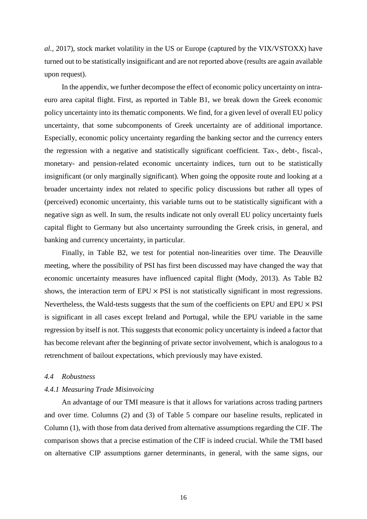*al.*, 2017), stock market volatility in the US or Europe (captured by the VIX/VSTOXX) have turned out to be statistically insignificant and are not reported above (results are again available upon request).

In the appendix, we further decompose the effect of economic policy uncertainty on intraeuro area capital flight. First, as reported in Table B1, we break down the Greek economic policy uncertainty into its thematic components. We find, for a given level of overall EU policy uncertainty, that some subcomponents of Greek uncertainty are of additional importance. Especially, economic policy uncertainty regarding the banking sector and the currency enters the regression with a negative and statistically significant coefficient. Tax-, debt-, fiscal-, monetary- and pension-related economic uncertainty indices, turn out to be statistically insignificant (or only marginally significant). When going the opposite route and looking at a broader uncertainty index not related to specific policy discussions but rather all types of (perceived) economic uncertainty, this variable turns out to be statistically significant with a negative sign as well. In sum, the results indicate not only overall EU policy uncertainty fuels capital flight to Germany but also uncertainty surrounding the Greek crisis, in general, and banking and currency uncertainty, in particular.

Finally, in Table B2, we test for potential non-linearities over time. The Deauville meeting, where the possibility of PSI has first been discussed may have changed the way that economic uncertainty measures have influenced capital flight (Mody, 2013). As Table B2 shows, the interaction term of  $EPU \times PSI$  is not statistically significant in most regressions. Nevertheless, the Wald-tests suggests that the sum of the coefficients on EPU and EPU  $\times$  PSI is significant in all cases except Ireland and Portugal, while the EPU variable in the same regression by itself is not. This suggests that economic policy uncertainty is indeed a factor that has become relevant after the beginning of private sector involvement, which is analogous to a retrenchment of bailout expectations, which previously may have existed.

## *4.4 Robustness*

### *4.4.1 Measuring Trade Misinvoicing*

An advantage of our TMI measure is that it allows for variations across trading partners and over time. Columns (2) and (3) of Table 5 compare our baseline results, replicated in Column (1), with those from data derived from alternative assumptions regarding the CIF. The comparison shows that a precise estimation of the CIF is indeed crucial. While the TMI based on alternative CIP assumptions garner determinants, in general, with the same signs, our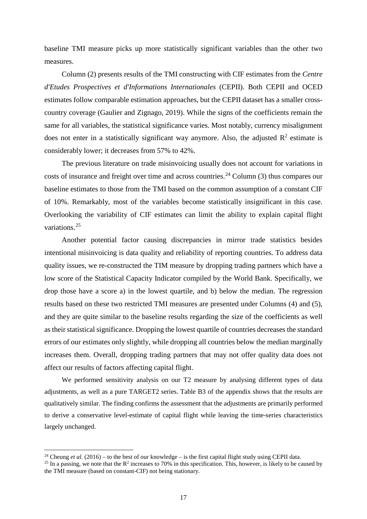baseline TMI measure picks up more statistically significant variables than the other two measures.

Column (2) presents results of the TMI constructing with CIF estimates from the *Centre d'Etudes Prospectives et d'Informations Internationales* (CEPII). Both CEPII and OCED estimates follow comparable estimation approaches, but the CEPII dataset has a smaller crosscountry coverage (Gaulier and Zignago, 2019). While the signs of the coefficients remain the same for all variables, the statistical significance varies. Most notably, currency misalignment does not enter in a statistically significant way anymore. Also, the adjusted  $\mathbb{R}^2$  estimate is considerably lower; it decreases from 57% to 42%.

The previous literature on trade misinvoicing usually does not account for variations in costs of insurance and freight over time and across countries.<sup>[24](#page-18-0)</sup> Column  $(3)$  thus compares our baseline estimates to those from the TMI based on the common assumption of a constant CIF of 10%. Remarkably, most of the variables become statistically insignificant in this case. Overlooking the variability of CIF estimates can limit the ability to explain capital flight variations.[25](#page-18-1)

Another potential factor causing discrepancies in mirror trade statistics besides intentional misinvoicing is data quality and reliability of reporting countries. To address data quality issues, we re-constructed the TIM measure by dropping trading partners which have a low score of the Statistical Capacity Indicator compiled by the World Bank. Specifically, we drop those have a score a) in the lowest quartile, and b) below the median. The regression results based on these two restricted TMI measures are presented under Columns (4) and (5), and they are quite similar to the baseline results regarding the size of the coefficients as well as their statistical significance. Dropping the lowest quartile of countries decreases the standard errors of our estimates only slightly, while dropping all countries below the median marginally increases them. Overall, dropping trading partners that may not offer quality data does not affect our results of factors affecting capital flight.

We performed sensitivity analysis on our T2 measure by analysing different types of data adjustments, as well as a pure TARGET2 series. Table B3 of the appendix shows that the results are qualitatively similar. The finding confirms the assessment that the adjustments are primarily performed to derive a conservative level-estimate of capital flight while leaving the time-series characteristics largely unchanged.

**.** 

<span id="page-18-0"></span><sup>&</sup>lt;sup>24</sup> Cheung *et al.* (2016) – to the best of our knowledge – is the first capital flight study using CEPII data.

<span id="page-18-1"></span><sup>&</sup>lt;sup>25</sup> In a passing, we note that the  $\mathbb{R}^2$  increases to 70% in this specification. This, however, is likely to be caused by the TMI measure (based on constant-CIF) not being stationary.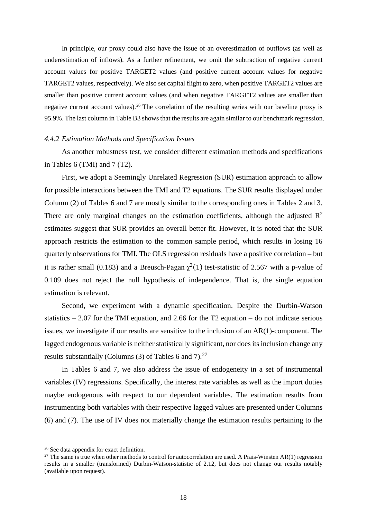In principle, our proxy could also have the issue of an overestimation of outflows (as well as underestimation of inflows). As a further refinement, we omit the subtraction of negative current account values for positive TARGET2 values (and positive current account values for negative TARGET2 values, respectively). We also set capital flight to zero, when positive TARGET2 values are smaller than positive current account values (and when negative TARGET2 values are smaller than negative current account values).<sup>[26](#page-19-0)</sup> The correlation of the resulting series with our baseline proxy is 95.9%. The last column in Table B3 shows that the results are again similar to our benchmark regression.

### *4.4.2 Estimation Methods and Specification Issues*

As another robustness test, we consider different estimation methods and specifications in Tables 6 (TMI) and 7 (T2).

First, we adopt a Seemingly Unrelated Regression (SUR) estimation approach to allow for possible interactions between the TMI and T2 equations. The SUR results displayed under Column (2) of Tables 6 and 7 are mostly similar to the corresponding ones in Tables 2 and 3. There are only marginal changes on the estimation coefficients, although the adjusted  $\mathbb{R}^2$ estimates suggest that SUR provides an overall better fit. However, it is noted that the SUR approach restricts the estimation to the common sample period, which results in losing 16 quarterly observations for TMI. The OLS regression residuals have a positive correlation – but it is rather small (0.183) and a Breusch-Pagan  $\gamma^2(1)$  test-statistic of 2.567 with a p-value of 0.109 does not reject the null hypothesis of independence. That is, the single equation estimation is relevant.

Second, we experiment with a dynamic specification. Despite the Durbin-Watson statistics  $-2.07$  for the TMI equation, and 2.66 for the T2 equation  $-$  do not indicate serious issues, we investigate if our results are sensitive to the inclusion of an AR(1)-component. The lagged endogenous variable is neither statistically significant, nor does its inclusion change any results substantially (Columns (3) of Tables 6 and 7).<sup>[27](#page-19-1)</sup>

In Tables 6 and 7, we also address the issue of endogeneity in a set of instrumental variables (IV) regressions. Specifically, the interest rate variables as well as the import duties maybe endogenous with respect to our dependent variables. The estimation results from instrumenting both variables with their respective lagged values are presented under Columns (6) and (7). The use of IV does not materially change the estimation results pertaining to the

**.** 

<span id="page-19-0"></span><sup>&</sup>lt;sup>26</sup> See data appendix for exact definition.

<span id="page-19-1"></span><sup>&</sup>lt;sup>27</sup> The same is true when other methods to control for autocorrelation are used. A Prais-Winsten AR(1) regression results in a smaller (transformed) Durbin-Watson-statistic of 2.12, but does not change our results notably (available upon request).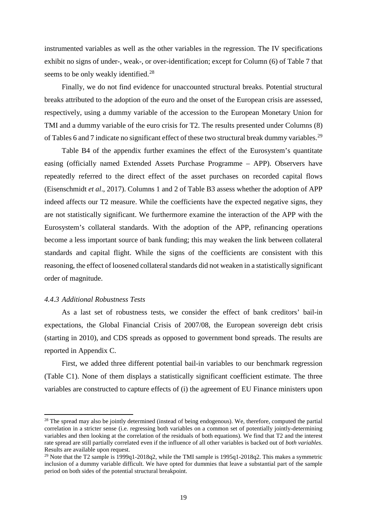instrumented variables as well as the other variables in the regression. The IV specifications exhibit no signs of under-, weak-, or over-identification; except for Column (6) of Table 7 that seems to be only weakly identified.<sup>[28](#page-20-0)</sup>

Finally, we do not find evidence for unaccounted structural breaks. Potential structural breaks attributed to the adoption of the euro and the onset of the European crisis are assessed, respectively, using a dummy variable of the accession to the European Monetary Union for TMI and a dummy variable of the euro crisis for T2. The results presented under Columns (8) of Tables 6 and 7 indicate no significant effect of these two structural break dummy variables.<sup>[29](#page-20-1)</sup>

Table B4 of the appendix further examines the effect of the Eurosystem's quantitate easing (officially named Extended Assets Purchase Programme – APP). Observers have repeatedly referred to the direct effect of the asset purchases on recorded capital flows (Eisenschmidt *et al*., 2017). Columns 1 and 2 of Table B3 assess whether the adoption of APP indeed affects our T2 measure. While the coefficients have the expected negative signs, they are not statistically significant. We furthermore examine the interaction of the APP with the Eurosystem's collateral standards. With the adoption of the APP, refinancing operations become a less important source of bank funding; this may weaken the link between collateral standards and capital flight. While the signs of the coefficients are consistent with this reasoning, the effect of loosened collateral standards did not weaken in a statistically significant order of magnitude.

## *4.4.3 Additional Robustness Tests*

**.** 

As a last set of robustness tests, we consider the effect of bank creditors' bail-in expectations, the Global Financial Crisis of 2007/08, the European sovereign debt crisis (starting in 2010), and CDS spreads as opposed to government bond spreads. The results are reported in Appendix C.

First, we added three different potential bail-in variables to our benchmark regression (Table C1). None of them displays a statistically significant coefficient estimate. The three variables are constructed to capture effects of (i) the agreement of EU Finance ministers upon

<span id="page-20-0"></span><sup>&</sup>lt;sup>28</sup> The spread may also be jointly determined (instead of being endogenous). We, therefore, computed the partial correlation in a stricter sense (i.e. regressing both variables on a common set of potentially jointly-determining variables and then looking at the correlation of the residuals of both equations). We find that T2 and the interest rate spread are still partially correlated even if the influence of all other variables is backed out of *both variables*. Results are available upon request.

<span id="page-20-1"></span><sup>&</sup>lt;sup>29</sup> Note that the T2 sample is  $\frac{1999q1-2018q2}{2018q2}$ , while the TMI sample is  $\frac{1995q1-2018q2}{2018q2}$ . This makes a symmetric inclusion of a dummy variable difficult. We have opted for dummies that leave a substantial part of the sample period on both sides of the potential structural breakpoint.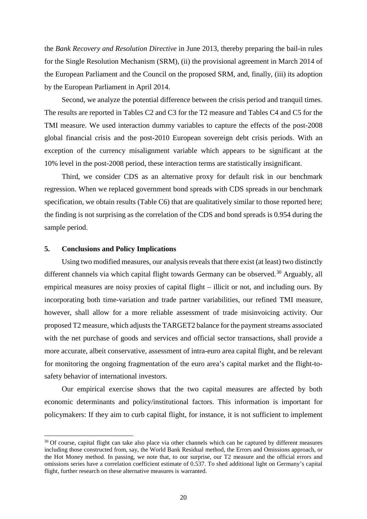the *Bank Recovery and Resolution Directive* in June 2013*,* thereby preparing the bail-in rules for the Single Resolution Mechanism (SRM), (ii) the provisional agreement in March 2014 of the European Parliament and the Council on the proposed SRM, and, finally, (iii) its adoption by the European Parliament in April 2014.

Second, we analyze the potential difference between the crisis period and tranquil times. The results are reported in Tables C2 and C3 for the T2 measure and Tables C4 and C5 for the TMI measure. We used interaction dummy variables to capture the effects of the post-2008 global financial crisis and the post-2010 European sovereign debt crisis periods. With an exception of the currency misalignment variable which appears to be significant at the 10% level in the post-2008 period, these interaction terms are statistically insignificant.

Third, we consider CDS as an alternative proxy for default risk in our benchmark regression. When we replaced government bond spreads with CDS spreads in our benchmark specification, we obtain results (Table C6) that are qualitatively similar to those reported here; the finding is not surprising as the correlation of the CDS and bond spreads is 0.954 during the sample period.

## **5. Conclusions and Policy Implications**

**.** 

Using two modified measures, our analysis reveals that there exist (at least) two distinctly different channels via which capital flight towards Germany can be observed.<sup>[30](#page-21-0)</sup> Arguably, all empirical measures are noisy proxies of capital flight – illicit or not, and including ours. By incorporating both time-variation and trade partner variabilities, our refined TMI measure, however, shall allow for a more reliable assessment of trade misinvoicing activity. Our proposed T2 measure, which adjusts the TARGET2 balance for the payment streams associated with the net purchase of goods and services and official sector transactions, shall provide a more accurate, albeit conservative, assessment of intra-euro area capital flight, and be relevant for monitoring the ongoing fragmentation of the euro area's capital market and the flight-tosafety behavior of international investors.

Our empirical exercise shows that the two capital measures are affected by both economic determinants and policy/institutional factors. This information is important for policymakers: If they aim to curb capital flight, for instance, it is not sufficient to implement

<span id="page-21-0"></span><sup>&</sup>lt;sup>30</sup> Of course, capital flight can take also place via other channels which can be captured by different measures including those constructed from, say, the World Bank Residual method, the Errors and Omissions approach, or the Hot Money method. In passing, we note that, to our surprise, our T2 measure and the official errors and omissions series have a correlation coefficient estimate of 0.537. To shed additional light on Germany's capital flight, further research on these alternative measures is warranted.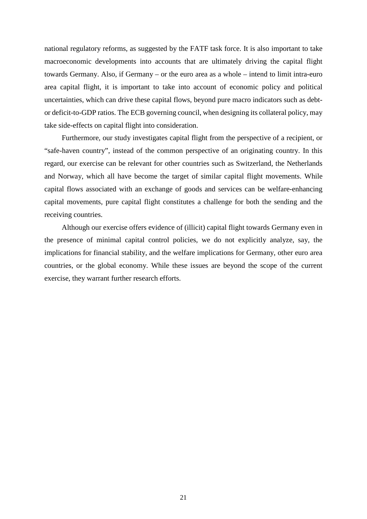national regulatory reforms, as suggested by the FATF task force. It is also important to take macroeconomic developments into accounts that are ultimately driving the capital flight towards Germany. Also, if Germany – or the euro area as a whole – intend to limit intra-euro area capital flight, it is important to take into account of economic policy and political uncertainties, which can drive these capital flows, beyond pure macro indicators such as debtor deficit-to-GDP ratios. The ECB governing council, when designing its collateral policy, may take side-effects on capital flight into consideration.

Furthermore, our study investigates capital flight from the perspective of a recipient, or "safe-haven country", instead of the common perspective of an originating country. In this regard, our exercise can be relevant for other countries such as Switzerland, the Netherlands and Norway, which all have become the target of similar capital flight movements. While capital flows associated with an exchange of goods and services can be welfare-enhancing capital movements, pure capital flight constitutes a challenge for both the sending and the receiving countries.

Although our exercise offers evidence of (illicit) capital flight towards Germany even in the presence of minimal capital control policies, we do not explicitly analyze, say, the implications for financial stability, and the welfare implications for Germany, other euro area countries, or the global economy. While these issues are beyond the scope of the current exercise, they warrant further research efforts.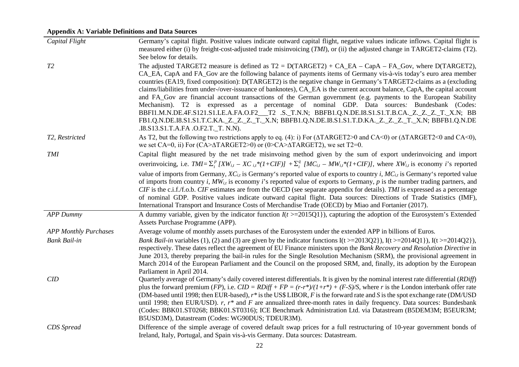# **Appendix A: Variable Definitions and Data Sources**

| Capital Flight               | Germany's capital flight. Positive values indicate outward capital flight, negative values indicate inflows. Capital flight is<br>measured either (i) by freight-cost-adjusted trade misinvoicing (TMI), or (ii) the adjusted change in TARGET2-claims (T2).<br>See below for details.                                                                                                                                                                                                                                                                                                                                                                                                                                                                                                                                                                                                                                                                           |
|------------------------------|------------------------------------------------------------------------------------------------------------------------------------------------------------------------------------------------------------------------------------------------------------------------------------------------------------------------------------------------------------------------------------------------------------------------------------------------------------------------------------------------------------------------------------------------------------------------------------------------------------------------------------------------------------------------------------------------------------------------------------------------------------------------------------------------------------------------------------------------------------------------------------------------------------------------------------------------------------------|
| T2                           | The adjusted TARGET2 measure is defined as $T2 = D(TARGET2) + CA_EA - CapA - FA_Gov$ , where $D(TARGET2)$ ,<br>CA_EA, CapA and FA_Gov are the following balance of payments items of Germany vis-à-vis today's euro area member<br>countries (EA19, fixed composition): D(TARGET2) is the negative change in Germany's TARGET2-claims as a (excluding<br>claims/liabilities from under-/over-issuance of banknotes), CA_EA is the current account balance, CapA, the capital account<br>and FA_Gov are financial account transactions of the German government (e.g. payments to the European Stability<br>Mechanism). T2 is expressed as a percentage of nominal GDP. Data sources: Bundesbank (Codes:<br>BBFI1.M.N.DE.4F.S121.S1.LE.A.FA.O.F2__T2 .S._T.N.N; BBFB1.Q.N.DE.I8.S1.S1.T.B.CA._Z._Z._Z._T._X.N; BB<br>FB1.Q.N.DE.I8.S1.S1.T.C.KA._Z._Z._T._X.N; BBFB1.Q.N.DE.I8.S1.S1.T.D.KA._Z._Z._Z._T._X.N; BBFB1.Q.N.DE<br>.I8.S13.S1.T.A.FA .O.F2.T._T. N.N). |
| T2, Restricted               | As T2, but the following two restrictions apply to eq. (4): i) For ( $\triangle$ TAGET2>0 and CA<0) or ( $\triangle$ TAGET2<0 and CA<0),<br>we set CA=0, ii) For (CA> $\triangle$ TARGET2>0) or (0>CA> $\triangle$ TARGET2), we set T2=0.                                                                                                                                                                                                                                                                                                                                                                                                                                                                                                                                                                                                                                                                                                                        |
| <b>TMI</b>                   | Capital flight measured by the net trade misinvoing method given by the sum of export underinvoicing and import                                                                                                                                                                                                                                                                                                                                                                                                                                                                                                                                                                                                                                                                                                                                                                                                                                                  |
|                              | overinvoicing, i.e. $TMI = \sum_{i}^{p} [XW_{i,t} - XC_{i,t}*(1+CIF)] + \sum_{i}^{q} [MC_{i,t} - MW_{i,t}*(1+CIF)],$ where $XW_{i,t}$ is economy <i>i</i> 's reported                                                                                                                                                                                                                                                                                                                                                                                                                                                                                                                                                                                                                                                                                                                                                                                            |
|                              | value of imports from Germany, $XC_{i,t}$ is Germany's reported value of exports to country <i>i</i> , $MC_{i,t}$ is Germany's reported value<br>of imports from country i, $MW_{i,t}$ is economy i's reported value of exports to Germany, p is the number trading partners, and<br>$CIF$ is the c.i.f./f.o.b. $CIF$ estimates are from the OECD (see separate appendix for details). TMI is expressed as a percentage<br>of nominal GDP. Positive values indicate outward capital flight. Data sources: Directions of Trade Statistics (IMF),<br>International Transport and Insurance Costs of Merchandise Trade (OECD) by Miao and Fortanier (2017).                                                                                                                                                                                                                                                                                                         |
| <b>APP Dummy</b>             | A dummy variable, given by the indicator function $I(t)$ = 2015Q1}), capturing the adoption of the Eurosystem's Extended<br>Assets Purchase Programme (APP).                                                                                                                                                                                                                                                                                                                                                                                                                                                                                                                                                                                                                                                                                                                                                                                                     |
| <b>APP Monthly Purchases</b> | Average volume of monthly assets purchases of the Eurosystem under the extended APP in billions of Euros.                                                                                                                                                                                                                                                                                                                                                                                                                                                                                                                                                                                                                                                                                                                                                                                                                                                        |
| <b>Bank Bail-in</b>          | <i>Bank Bail-in</i> variables (1), (2) and (3) are given by the indicator functions $I(t \ge 2013Q2)$ , $I(t \ge 2014Q1)$ , $I(t \ge 2014Q2)$ ,<br>respectively. These dates reflect the agreement of EU Finance ministers upon the Bank Recovery and Resolution Directive in<br>June 2013, thereby preparing the bail-in rules for the Single Resolution Mechanism (SRM), the provisional agreement in<br>March 2014 of the European Parliament and the Council on the proposed SRM, and, finally, its adoption by the European<br>Parliament in April 2014.                                                                                                                                                                                                                                                                                                                                                                                                    |
| CID                          | Quarterly average of Germany's daily covered interest differentials. It is given by the nominal interest rate differential (RDiff)<br>plus the forward premium (FP), i.e. $CID = RDiff + FP = (r-r*)/(1+r*) + (F-S)/S$ , where r is the London interbank offer rate<br>(DM-based until 1998; then EUR-based), $r^*$ is the US\$ LIBOR, F is the forward rate and S is the spot exchange rate (DM/USD)<br>until 1998; then EUR/USD). $r, r^*$ and F are annualized three-month rates in daily frequency. Data sources: Bundesbank<br>(Codes: BBK01.ST0268; BBK01.ST0316); ICE Benchmark Administration Ltd. via Datastream (B5DEM3M; B5EUR3M;<br>B5USD3M), Datastream (Codes: WG90DUS; TDEUR3M).                                                                                                                                                                                                                                                                  |
| CDS Spread                   | Difference of the simple average of covered default swap prices for a full restructuring of 10-year government bonds of<br>Ireland, Italy, Portugal, and Spain vis-à-vis Germany. Data sources: Datastream.                                                                                                                                                                                                                                                                                                                                                                                                                                                                                                                                                                                                                                                                                                                                                      |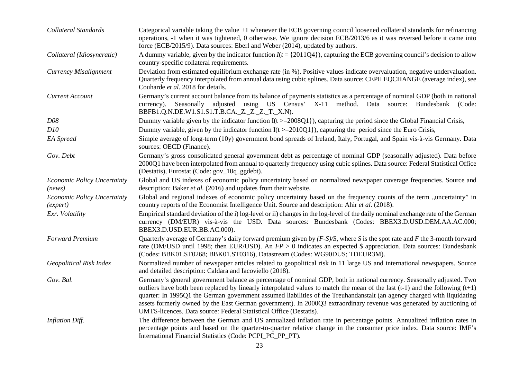| Collateral Standards                           | Categorical variable taking the value $+1$ whenever the ECB governing council loosened collateral standards for refinancing<br>operations, -1 when it was tightened, 0 otherwise. We ignore decision ECB/2013/6 as it was reversed before it came into<br>force (ECB/2015/9). Data sources: Eberl and Weber (2014), updated by authors.                                                                                                                                                                                                                                             |
|------------------------------------------------|-------------------------------------------------------------------------------------------------------------------------------------------------------------------------------------------------------------------------------------------------------------------------------------------------------------------------------------------------------------------------------------------------------------------------------------------------------------------------------------------------------------------------------------------------------------------------------------|
| Collateral (Idiosyncratic)                     | A dummy variable, given by the indicator function $I(t = \{2011Q4\})$ , capturing the ECB governing council's decision to allow<br>country-specific collateral requirements.                                                                                                                                                                                                                                                                                                                                                                                                        |
| Currency Misalignment                          | Deviation from estimated equilibrium exchange rate (in %). Positive values indicate overvaluation, negative undervaluation.<br>Quarterly frequency interpolated from annual data using cubic splines. Data source: CEPII EQCHANGE (average index), see<br>Couharde et al. 2018 for details.                                                                                                                                                                                                                                                                                         |
| <b>Current Account</b>                         | Germany's current account balance from its balance of payments statistics as a percentage of nominal GDP (both in national<br>currency). Seasonally adjusted using US Census' X-11<br>method. Data source: Bundesbank (Code:<br>BBFB1.Q.N.DE.W1.S1.S1.T.B.CA._Z._Z._Z._T._X.N).                                                                                                                                                                                                                                                                                                     |
| <b>D08</b>                                     | Dummy variable given by the indicator function $I(t \ge 2008Q1)$ , capturing the period since the Global Financial Crisis,                                                                                                                                                                                                                                                                                                                                                                                                                                                          |
| D10                                            | Dummy variable, given by the indicator function $I(t)$ = 2010Q1}), capturing the period since the Euro Crisis,                                                                                                                                                                                                                                                                                                                                                                                                                                                                      |
| EA Spread                                      | Simple average of long-term (10y) government bond spreads of Ireland, Italy, Portugal, and Spain vis-à-vis Germany. Data<br>sources: OECD (Finance).                                                                                                                                                                                                                                                                                                                                                                                                                                |
| Gov. Debt                                      | Germany's gross consolidated general government debt as percentage of nominal GDP (seasonally adjusted). Data before<br>2000Q1 have been interpolated from annual to quarterly frequency using cubic splines. Data source: Federal Statistical Office<br>(Destatis), Eurostat (Code: gov_10q_ggdebt).                                                                                                                                                                                                                                                                               |
| Economic Policy Uncertainty<br>(news)          | Global and US indexes of economic policy uncertainty based on normalized newspaper coverage frequencies. Source and<br>description: Baker et al. (2016) and updates from their website.                                                                                                                                                                                                                                                                                                                                                                                             |
| <b>Economic Policy Uncertainty</b><br>(expert) | Global and regional indexes of economic policy uncertainty based on the frequency counts of the term "uncertainty" in<br>country reports of the Economist Intelligence Unit. Source and description: Ahir et al. (2018).                                                                                                                                                                                                                                                                                                                                                            |
| Exr. Volatility                                | Empirical standard deviation of the i) log-level or ii) changes in the log-level of the daily nominal exchange rate of the German<br>currency (DM/EUR) vis-à-vis the USD. Data sources: Bundesbank (Codes: BBEX3.D.USD.DEM.AA.AC.000;<br>BBEX3.D.USD.EUR.BB.AC.000).                                                                                                                                                                                                                                                                                                                |
| <b>Forward Premium</b>                         | Quarterly average of Germany's daily forward premium given by $(F-S)/S$ , where S is the spot rate and F the 3-month forward<br>rate (DM/USD until 1998; then EUR/USD). An $FP > 0$ indicates an expected \$ appreciation. Data sources: Bundesbank<br>(Codes: BBK01.ST0268; BBK01.ST0316), Datastream (Codes: WG90DUS; TDEUR3M).                                                                                                                                                                                                                                                   |
| Geopolitical Risk Index                        | Normalized number of newspaper articles related to geopolitical risk in 11 large US and international newspapers. Source<br>and detailed description: Caldara and Iacoviello (2018).                                                                                                                                                                                                                                                                                                                                                                                                |
| Gov. Bal.                                      | Germany's general government balance as percentage of nominal GDP, both in national currency. Seasonally adjusted. Two<br>outliers have both been replaced by linearly interpolated values to match the mean of the last $(t-1)$ and the following $(t+1)$<br>quarter: In 1995Q1 the German government assumed liabilities of the Treuhandanstalt (an agency charged with liquidating<br>assets formerly owned by the East German government). In 2000Q3 extraordinary revenue was generated by auctioning of<br>UMTS-licences. Data source: Federal Statistical Office (Destatis). |
| <b>Inflation Diff.</b>                         | The difference between the German and US annualized inflation rate in percentage points. Annualized inflation rates in<br>percentage points and based on the quarter-to-quarter relative change in the consumer price index. Data source: IMF's<br>International Financial Statistics (Code: PCPI_PC_PP_PT).                                                                                                                                                                                                                                                                        |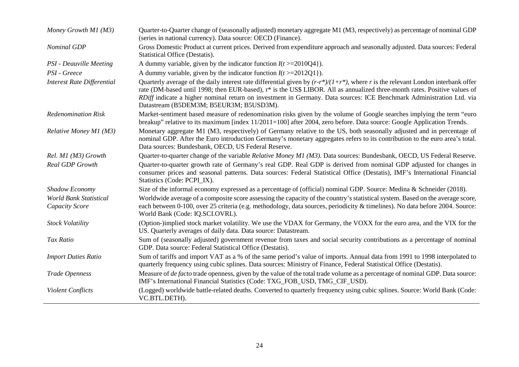| Money Growth M1 (M3)                                   | Quarter-to-Quarter change of (seasonally adjusted) monetary aggregate M1 (M3, respectively) as percentage of nominal GDP<br>(series in national currency). Data source: OECD (Finance).                                                                                                                                                                                                                                               |
|--------------------------------------------------------|---------------------------------------------------------------------------------------------------------------------------------------------------------------------------------------------------------------------------------------------------------------------------------------------------------------------------------------------------------------------------------------------------------------------------------------|
| <b>Nominal GDP</b>                                     | Gross Domestic Product at current prices. Derived from expenditure approach and seasonally adjusted. Data sources: Federal<br>Statistical Office (Destatis).                                                                                                                                                                                                                                                                          |
| <b>PSI</b> - Deauville Meeting                         | A dummy variable, given by the indicator function $I(t)$ = 2010Q4}).                                                                                                                                                                                                                                                                                                                                                                  |
| PSI - Greece                                           | A dummy variable, given by the indicator function $I(t)$ = 2012Q1}).                                                                                                                                                                                                                                                                                                                                                                  |
| <b>Interest Rate Differential</b>                      | Quarterly average of the daily interest rate differential given by $(r-r^*)/(1+r^*)$ , where r is the relevant London interbank offer<br>rate (DM-based until 1998; then EUR-based), r* is the US\$ LIBOR. All as annualized three-month rates. Positive values of<br>RDiff indicate a higher nominal return on investment in Germany. Data sources: ICE Benchmark Administration Ltd. via<br>Datastream (B5DEM3M; B5EUR3M; B5USD3M). |
| <b>Redenomination Risk</b>                             | Market-sentiment based measure of redenomination risks given by the volume of Google searches implying the term "euro"<br>breakup" relative to its maximum [index 11/2011=100] after 2004, zero before. Data source: Google Application Trends.                                                                                                                                                                                       |
| Relative Money M1 (M3)                                 | Monetary aggregate M1 (M3, respectively) of Germany relative to the US, both seasonally adjusted and in percentage of<br>nominal GDP. After the Euro introduction Germany's monetary aggregates refers to its contribution to the euro area's total.<br>Data sources: Bundesbank, OECD, US Federal Reserve.                                                                                                                           |
| Rel. M1 (M3) Growth                                    | Quarter-to-quarter change of the variable Relative Money M1 (M3). Data sources: Bundesbank, OECD, US Federal Reserve.                                                                                                                                                                                                                                                                                                                 |
| <b>Real GDP Growth</b>                                 | Quarter-to-quarter growth rate of Germany's real GDP. Real GDP is derived from nominal GDP adjusted for changes in<br>consumer prices and seasonal patterns. Data sources: Federal Statistical Office (Destatis), IMF's International Financial<br>Statistics (Code: PCPI_IX).                                                                                                                                                        |
| Shadow Economy                                         | Size of the informal economy expressed as a percentage of (official) nominal GDP. Source: Medina & Schneider (2018).                                                                                                                                                                                                                                                                                                                  |
| <b>World Bank Statistical</b><br><b>Capacity Score</b> | Worldwide average of a composite score assessing the capacity of the country's statistical system. Based on the average score,<br>each between 0-100, over 25 criteria (e.g. methodology, data sources, periodicity & timelines). No data before 2004. Source:<br>World Bank (Code: IQ.SCI.OVRL).                                                                                                                                     |
| <b>Stock Volatility</b>                                | (Option-)implied stock market volatility. We use the VDAX for Germany, the VOXX for the euro area, and the VIX for the<br>US. Quarterly averages of daily data. Data source: Datastream.                                                                                                                                                                                                                                              |
| Tax Ratio                                              | Sum of (seasonally adjusted) government revenue from taxes and social security contributions as a percentage of nominal<br>GDP. Data source: Federal Statistical Office (Destatis).                                                                                                                                                                                                                                                   |
| <b>Import Duties Ratio</b>                             | Sum of tariffs and import VAT as a % of the same period's value of imports. Annual data from 1991 to 1998 interpolated to<br>quarterly frequency using cubic splines. Data sources: Ministry of Finance, Federal Statistical Office (Destatis).                                                                                                                                                                                       |
| Trade Openness                                         | Measure of <i>de facto</i> trade openness, given by the value of the total trade volume as a percentage of nominal GDP. Data source:<br>IMF's International Financial Statistics (Code: TXG_FOB_USD, TMG_CIF_USD).                                                                                                                                                                                                                    |
| <b>Violent Conflicts</b>                               | (Logged) worldwide battle-related deaths. Converted to quarterly frequency using cubic splines. Source: World Bank (Code:<br>VC.BTL.DETH).                                                                                                                                                                                                                                                                                            |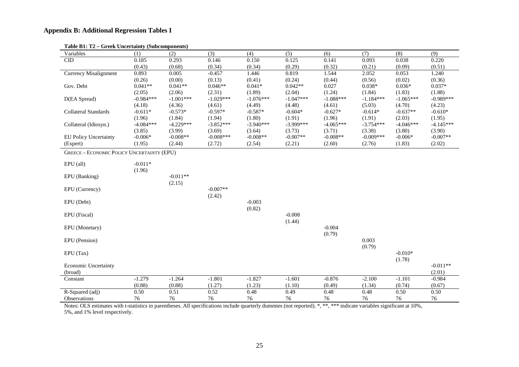## **Appendix B: Additional Regression Tables I**

| rable $\mathbf{D1}$ . $\mathbf{12} - \mathbf{G1}$ eek Uncertainty (Subcomponents) |             |             |             |             |             |             |             |             |             |
|-----------------------------------------------------------------------------------|-------------|-------------|-------------|-------------|-------------|-------------|-------------|-------------|-------------|
| Variables                                                                         | (1)         | (2)         | (3)         | (4)         | (5)         | (6)         | (7)         | (8)         | (9)         |
| CID                                                                               | 0.185       | 0.293       | 0.146       | 0.150       | 0.125       | 0.141       | 0.093       | 0.038       | 0.220       |
|                                                                                   | (0.43)      | (0.68)      | (0.34)      | (0.34)      | (0.29)      | (0.32)      | (0.21)      | (0.09)      | (0.51)      |
| <b>Currency Misalignment</b>                                                      | 0.893       | 0.005       | $-0.457$    | 1.446       | 0.819       | 1.544       | 2.052       | 0.053       | 1.240       |
|                                                                                   | (0.26)      | (0.00)      | (0.13)      | (0.41)      | (0.24)      | (0.44)      | (0.56)      | (0.02)      | (0.36)      |
| Gov. Debt                                                                         | $0.041**$   | $0.041**$   | $0.046**$   | $0.041*$    | $0.042**$   | 0.027       | $0.038*$    | $0.036*$    | $0.037*$    |
|                                                                                   | (2.05)      | (2.06)      | (2.31)      | (1.89)      | (2.04)      | (1.24)      | (1.84)      | (1.83)      | (1.88)      |
| D(EA Spread)                                                                      | $-0.984***$ | $-1.001***$ | $-1.029***$ | $-1.076***$ | $-1.047***$ | $-1.088***$ | $-1.184***$ | $-1.065***$ | $-0.989***$ |
|                                                                                   | (4.18)      | (4.36)      | (4.61)      | (4.49)      | (4.48)      | (4.61)      | (5.03)      | (4.70)      | (4.23)      |
| <b>Collateral Standards</b>                                                       | $-0.611*$   | $-0.573*$   | $-0.597*$   | $-0.587*$   | $-0.604*$   | $-0.627*$   | $-0.614*$   | $-0.637**$  | $-0.610*$   |
|                                                                                   | (1.96)      | (1.84)      | (1.94)      | (1.80)      | (1.91)      | (1.96)      | (1.91)      | (2.03)      | (1.95)      |
| Collateral (Idiosyn.)                                                             | $-4.084***$ | $-4.229***$ | $-3.852***$ | $-3.940***$ | $-3.999***$ | $-4.065***$ | $-3.754***$ | $-4.046***$ | $-4.145***$ |
|                                                                                   | (3.85)      | (3.99)      | (3.69)      | (3.64)      | (3.73)      | (3.71)      | (3.38)      | (3.80)      | (3.90)      |
| <b>EU Policy Uncertainty</b>                                                      | $-0.006*$   | $-0.008**$  | $-0.008***$ | $-0.008**$  | $-0.007**$  | $-0.008**$  | $-0.009***$ | $-0.006*$   | $-0.007**$  |
| (Expert)                                                                          | (1.95)      | (2.44)      | (2.72)      | (2.54)      | (2.21)      | (2.60)      | (2.76)      | (1.83)      | (2.02)      |
| <b>GREECE - ECONOMIC POLICY UNCERTAINTY (EPU)</b>                                 |             |             |             |             |             |             |             |             |             |
|                                                                                   |             |             |             |             |             |             |             |             |             |
| EPU (all)                                                                         | $-0.011*$   |             |             |             |             |             |             |             |             |
|                                                                                   | (1.96)      |             |             |             |             |             |             |             |             |
| EPU (Banking)                                                                     |             | $-0.011**$  |             |             |             |             |             |             |             |
|                                                                                   |             | (2.15)      |             |             |             |             |             |             |             |
| EPU (Currency)                                                                    |             |             | $-0.007**$  |             |             |             |             |             |             |
|                                                                                   |             |             | (2.42)      |             |             |             |             |             |             |
| EPU (Debt)                                                                        |             |             |             | $-0.003$    |             |             |             |             |             |
|                                                                                   |             |             |             | (0.82)      |             |             |             |             |             |
|                                                                                   |             |             |             |             | $-0.008$    |             |             |             |             |
| EPU (Fiscal)                                                                      |             |             |             |             |             |             |             |             |             |
|                                                                                   |             |             |             |             | (1.44)      |             |             |             |             |
| EPU (Monetary)                                                                    |             |             |             |             |             | $-0.004$    |             |             |             |
|                                                                                   |             |             |             |             |             | (0.79)      |             |             |             |
| EPU (Pension)                                                                     |             |             |             |             |             |             | 0.003       |             |             |
|                                                                                   |             |             |             |             |             |             | (0.79)      |             |             |
| $EPU$ (Tax)                                                                       |             |             |             |             |             |             |             | $-0.010*$   |             |
|                                                                                   |             |             |             |             |             |             |             | (1.78)      |             |
| <b>Economic Uncertainty</b>                                                       |             |             |             |             |             |             |             |             | $-0.011**$  |
| (broad)                                                                           |             |             |             |             |             |             |             |             | (2.01)      |
| Constant                                                                          | $-1.279$    | $-1.264$    | $-1.801$    | $-1.827$    | $-1.601$    | $-0.876$    | $-2.100$    | $-1.101$    | $-0.984$    |
|                                                                                   | (0.88)      | (0.88)      | (1.27)      | (1.23)      | (1.10)      | (0.49)      | (1.34)      | (0.74)      | (0.67)      |
| R-Squared (adj)                                                                   | 0.50        | 0.51        | 0.52        | 0.48        | 0.49        | 0.48        | 0.48        | 0.50        | 0.50        |
| Observations                                                                      | 76          | 76          | 76          | 76          | 76          | 76          | 76          | 76          | 76          |

#### **Table B1: T2 – Greek Uncertainty (Subcomponents)**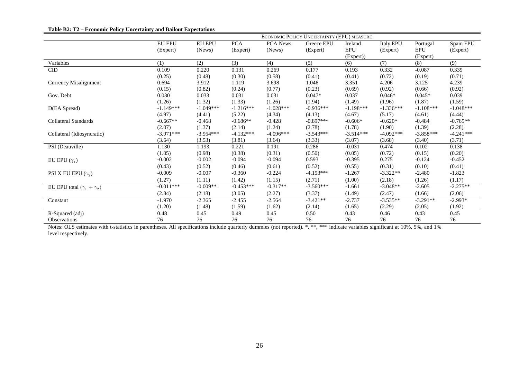|                                      | ECONOMIC POLICY UNCERTAINTY (EPU) MEASURE |               |             |                 |             |             |                  |                             |             |
|--------------------------------------|-------------------------------------------|---------------|-------------|-----------------|-------------|-------------|------------------|-----------------------------|-------------|
|                                      | <b>EU EPU</b>                             | <b>EU EPU</b> | <b>PCA</b>  | <b>PCA News</b> | Greece EPU  | Ireland     | <b>Italy EPU</b> | Portugal                    | Spain EPU   |
|                                      | (Expert)                                  | (News)        | (Expert)    | (News)          | (Expert)    | <b>EPU</b>  | (Expert)         | $\ensuremath{\mathrm{EPU}}$ | (Expert)    |
|                                      |                                           |               |             |                 |             | (Expert))   |                  | (Expert)                    |             |
| Variables                            | (1)                                       | (2)           | (3)         | (4)             | (5)         | (6)         | (7)              | (8)                         | (9)         |
| CID                                  | 0.109                                     | 0.220         | 0.131       | 0.269           | 0.177       | 0.193       | 0.332            | $-0.087$                    | 0.339       |
|                                      | (0.25)                                    | (0.48)        | (0.30)      | (0.58)          | (0.41)      | (0.41)      | (0.72)           | (0.19)                      | (0.71)      |
| Currency Misalignment                | 0.694                                     | 3.912         | 1.119       | 3.698           | 1.046       | 3.351       | 4.206            | 3.125                       | 4.239       |
|                                      | (0.15)                                    | (0.82)        | (0.24)      | (0.77)          | (0.23)      | (0.69)      | (0.92)           | (0.66)                      | (0.92)      |
| Gov. Debt                            | 0.030                                     | 0.033         | 0.031       | 0.031           | $0.047*$    | 0.037       | $0.046*$         | $0.045*$                    | 0.039       |
|                                      | (1.26)                                    | (1.32)        | (1.33)      | (1.26)          | (1.94)      | (1.49)      | (1.96)           | (1.87)                      | (1.59)      |
| D(EA Spread)                         | $-1.149***$                               | $-1.049***$   | $-1.216***$ | $-1.028***$     | $-0.936***$ | $-1.198***$ | $-1.336***$      | $-1.108***$                 | $-1.048***$ |
|                                      | (4.97)                                    | (4.41)        | (5.22)      | (4.34)          | (4.13)      | (4.67)      | (5.17)           | (4.61)                      | (4.44)      |
| Collateral Standards                 | $-0.667**$                                | $-0.468$      | $-0.686**$  | $-0.428$        | $-0.897***$ | $-0.606*$   | $-0.620*$        | $-0.484$                    | $-0.765**$  |
|                                      | (2.07)                                    | (1.37)        | (2.14)      | (1.24)          | (2.78)      | (1.78)      | (1.90)           | (1.39)                      | (2.28)      |
| Collateral (Idiosyncratic)           | $-3.971***$                               | $-3.954***$   | $-4.132***$ | $-4.096***$     | $-3.543***$ | $-3.514***$ | $-4.092***$      | $-3.858***$                 | $-4.241***$ |
|                                      | (3.64)                                    | (3.53)        | (3.81)      | (3.64)          | (3.33)      | (3.07)      | (3.68)           | (3.40)                      | (3.71)      |
| PSI (Deauville)                      | 1.130                                     | 1.193         | 0.221       | 0.191           | 0.286       | $-0.031$    | 0.474            | 0.102                       | 0.138       |
|                                      | (1.05)                                    | (0.98)        | (0.38)      | (0.31)          | (0.50)      | (0.05)      | (0.72)           | (0.15)                      | (0.20)      |
| EU EPU $(\gamma_1)$                  | $-0.002$                                  | $-0.002$      | $-0.094$    | $-0.094$        | 0.593       | $-0.395$    | 0.275            | $-0.124$                    | $-0.452$    |
|                                      | (0.43)                                    | (0.52)        | (0.46)      | (0.61)          | (0.52)      | (0.55)      | (0.31)           | (0.10)                      | (0.41)      |
| PSI X EU EPU $(\gamma_2)$            | $-0.009$                                  | $-0.007$      | $-0.360$    | $-0.224$        | $-4.153***$ | $-1.267$    | $-3.322**$       | $-2.480$                    | $-1.823$    |
|                                      | (1.27)                                    | (1.11)        | (1.42)      | (1.15)          | (2.71)      | (1.00)      | (2.18)           | (1.26)                      | (1.17)      |
| EU EPU total $(\gamma_1 + \gamma_2)$ | $-0.011***$                               | $-0.009**$    | $-0.453***$ | $-0.317**$      | $-3.560***$ | $-1.661$    | $-3.048**$       | $-2.605$                    | $-2.275**$  |
|                                      | (2.84)                                    | (2.18)        | (3.05)      | (2.27)          | (3.37)      | (1.49)      | (2.47)           | (1.66)                      | (2.06)      |
| Constant                             | $-1.970$                                  | $-2.365$      | $-2.455$    | $-2.564$        | $-3.421**$  | $-2.737$    | $-3.535**$       | $-3.291**$                  | $-2.993*$   |
|                                      | (1.20)                                    | (1.48)        | (1.59)      | (1.62)          | (2.14)      | (1.65)      | (2.29)           | (2.05)                      | (1.92)      |
| R-Squared (adj)                      | 0.48                                      | 0.45          | 0.49        | 0.45            | 0.50        | 0.43        | 0.46             | 0.43                        | 0.45        |
| <b>Observations</b>                  | 76                                        | 76            | 76          | 76              | 76          | 76          | 76               | 76                          | 76          |

| Table B2: T2 - Economic Policy Uncertainty and Bailout Expectations |  |  |  |
|---------------------------------------------------------------------|--|--|--|
|---------------------------------------------------------------------|--|--|--|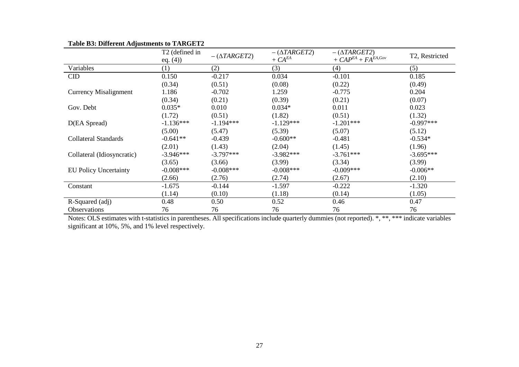| ิข⊺                          | T <sub>2</sub> (defined in<br>eq. $(4)$ ) | $-(\Delta TARGET2)$ | $-(\Delta TARGET2)$<br>+ $CA^{EA}$ | $-(\Delta TARGET2)$<br>+ $CAP^{EA}$ + $FA^{EA, Gov}$ | T2, Restricted |
|------------------------------|-------------------------------------------|---------------------|------------------------------------|------------------------------------------------------|----------------|
| Variables                    | (1)                                       | (2)                 | (3)                                | (4)                                                  | (5)            |
| $\overline{\text{CD}}$       | 0.150                                     | $-0.217$            | 0.034                              | $-0.101$                                             | 0.185          |
|                              | (0.34)                                    | (0.51)              | (0.08)                             | (0.22)                                               | (0.49)         |
| <b>Currency Misalignment</b> | 1.186                                     | $-0.702$            | 1.259                              | $-0.775$                                             | 0.204          |
|                              | (0.34)                                    | (0.21)              | (0.39)                             | (0.21)                                               | (0.07)         |
| Gov. Debt                    | $0.035*$                                  | 0.010               | $0.034*$                           | 0.011                                                | 0.023          |
|                              | (1.72)                                    | (0.51)              | (1.82)                             | (0.51)                                               | (1.32)         |
| D(EA Spread)                 | $-1.136***$                               | $-1.194***$         | $-1.129***$                        | $-1.201***$                                          | $-0.997***$    |
|                              | (5.00)                                    | (5.47)              | (5.39)                             | (5.07)                                               | (5.12)         |
| Collateral Standards         | $-0.641**$                                | $-0.439$            | $-0.600**$                         | $-0.481$                                             | $-0.534*$      |
|                              | (2.01)                                    | (1.43)              | (2.04)                             | (1.45)                                               | (1.96)         |
| Collateral (Idiosyncratic)   | $-3.946***$                               | $-3.797***$         | $-3.982***$                        | $-3.761***$                                          | $-3.695***$    |
|                              | (3.65)                                    | (3.66)              | (3.99)                             | (3.34)                                               | (3.99)         |
| <b>EU Policy Uncertainty</b> | $-0.008***$                               | $-0.008***$         | $-0.008***$                        | $-0.009***$                                          | $-0.006**$     |
|                              | (2.66)                                    | (2.76)              | (2.74)                             | (2.67)                                               | (2.10)         |
| Constant                     | $-1.675$                                  | $-0.144$            | $-1.597$                           | $-0.222$                                             | $-1.320$       |
|                              | (1.14)                                    | (0.10)              | (1.18)                             | (0.14)                                               | (1.05)         |
| R-Squared (adj)              | 0.48                                      | 0.50                | 0.52                               | 0.46                                                 | 0.47           |
| <b>Observations</b>          | 76                                        | 76                  | 76                                 | 76                                                   | 76             |

#### **Table B3: Different Adjustments to TARGET2**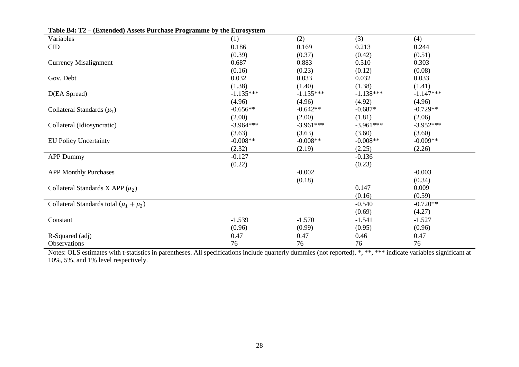| Variables                                    | (1)         | (2)         | (3)         | (4)         |
|----------------------------------------------|-------------|-------------|-------------|-------------|
| CID                                          | 0.186       | 0.169       | 0.213       | 0.244       |
|                                              | (0.39)      | (0.37)      | (0.42)      | (0.51)      |
| <b>Currency Misalignment</b>                 | 0.687       | 0.883       | 0.510       | 0.303       |
|                                              | (0.16)      | (0.23)      | (0.12)      | (0.08)      |
| Gov. Debt                                    | 0.032       | 0.033       | 0.032       | 0.033       |
|                                              | (1.38)      | (1.40)      | (1.38)      | (1.41)      |
| D(EA Spread)                                 | $-1.135***$ | $-1.135***$ | $-1.138***$ | $-1.147***$ |
|                                              | (4.96)      | (4.96)      | (4.92)      | (4.96)      |
| Collateral Standards $(\mu_1)$               | $-0.656**$  | $-0.642**$  | $-0.687*$   | $-0.729**$  |
|                                              | (2.00)      | (2.00)      | (1.81)      | (2.06)      |
| Collateral (Idiosyncratic)                   | $-3.964***$ | $-3.961***$ | $-3.961***$ | $-3.952***$ |
|                                              | (3.63)      | (3.63)      | (3.60)      | (3.60)      |
| <b>EU Policy Uncertainty</b>                 | $-0.008**$  | $-0.008**$  | $-0.008**$  | $-0.009**$  |
|                                              | (2.32)      | (2.19)      | (2.25)      | (2.26)      |
| <b>APP Dummy</b>                             | $-0.127$    |             | $-0.136$    |             |
|                                              | (0.22)      |             | (0.23)      |             |
| <b>APP Monthly Purchases</b>                 |             | $-0.002$    |             | $-0.003$    |
|                                              |             | (0.18)      |             | (0.34)      |
| Collateral Standards X APP $(\mu_2)$         |             |             | 0.147       | 0.009       |
|                                              |             |             | (0.16)      | (0.59)      |
| Collateral Standards total $(\mu_1 + \mu_2)$ |             |             | $-0.540$    | $-0.720**$  |
|                                              |             |             | (0.69)      | (4.27)      |
| Constant                                     | $-1.539$    | $-1.570$    | $-1.541$    | $-1.527$    |
|                                              | (0.96)      | (0.99)      | (0.95)      | (0.96)      |
| R-Squared (adj)                              | 0.47        | 0.47        | 0.46        | 0.47        |
| Observations                                 | 76          | 76          | 76          | 76          |

|  |  | Table B4: T2 – (Extended) Assets Purchase Programme by the Eurosystem |  |  |  |
|--|--|-----------------------------------------------------------------------|--|--|--|
|--|--|-----------------------------------------------------------------------|--|--|--|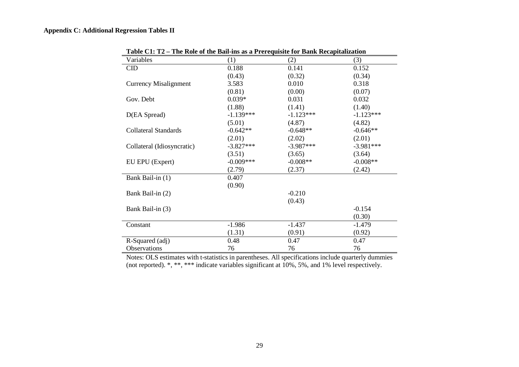## **Appendix C: Additional Regression Tables II**

| Variables                    | (1)         | (2)         | (3)         |
|------------------------------|-------------|-------------|-------------|
| $\rm CID$                    | 0.188       | 0.141       | 0.152       |
|                              | (0.43)      | (0.32)      | (0.34)      |
| <b>Currency Misalignment</b> | 3.583       | 0.010       | 0.318       |
|                              | (0.81)      | (0.00)      | (0.07)      |
| Gov. Debt                    | $0.039*$    | 0.031       | 0.032       |
|                              | (1.88)      | (1.41)      | (1.40)      |
| D(EA Spread)                 | $-1.139***$ | $-1.123***$ | $-1.123***$ |
|                              | (5.01)      | (4.87)      | (4.82)      |
| <b>Collateral Standards</b>  | $-0.642**$  | $-0.648**$  | $-0.646**$  |
|                              | (2.01)      | (2.02)      | (2.01)      |
| Collateral (Idiosyncratic)   | $-3.827***$ | $-3.987***$ | $-3.981***$ |
|                              | (3.51)      | (3.65)      | (3.64)      |
| EU EPU (Expert)              | $-0.009***$ | $-0.008**$  | $-0.008**$  |
|                              | (2.79)      | (2.37)      | (2.42)      |
| Bank Bail-in (1)             | 0.407       |             |             |
|                              | (0.90)      |             |             |
| Bank Bail-in (2)             |             | $-0.210$    |             |
|                              |             | (0.43)      |             |
| Bank Bail-in (3)             |             |             | $-0.154$    |
|                              |             |             | (0.30)      |
| Constant                     | $-1.986$    | $-1.437$    | $-1.479$    |
|                              | (1.31)      | (0.91)      | (0.92)      |
| R-Squared (adj)              | 0.48        | 0.47        | 0.47        |
| Observations                 | 76          | 76          | 76          |

**Table C1: T2 – The Role of the Bail-ins as a Prerequisite for Bank Recapitalization**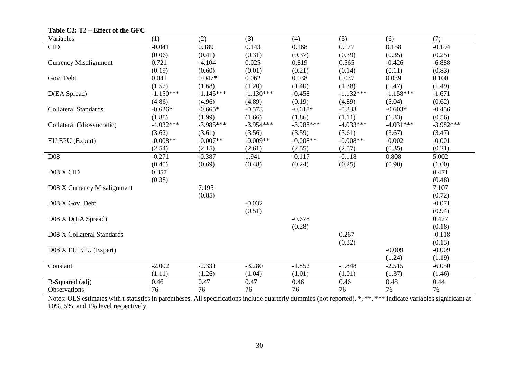| Variables                    | (1)         | (2)         | (3)         | (4)         | (5)         | (6)         | (7)         |
|------------------------------|-------------|-------------|-------------|-------------|-------------|-------------|-------------|
| CID                          | $-0.041$    | 0.189       | 0.143       | 0.168       | 0.177       | 0.158       | $-0.194$    |
|                              | (0.06)      | (0.41)      | (0.31)      | (0.37)      | (0.39)      | (0.35)      | (0.25)      |
| <b>Currency Misalignment</b> | 0.721       | $-4.104$    | 0.025       | 0.819       | 0.565       | $-0.426$    | $-6.888$    |
|                              | (0.19)      | (0.60)      | (0.01)      | (0.21)      | (0.14)      | (0.11)      | (0.83)      |
| Gov. Debt                    | 0.041       | $0.047*$    | 0.062       | 0.038       | 0.037       | 0.039       | 0.100       |
|                              | (1.52)      | (1.68)      | (1.20)      | (1.40)      | (1.38)      | (1.47)      | (1.49)      |
| D(EA Spread)                 | $-1.150***$ | $-1.145***$ | $-1.130***$ | $-0.458$    | $-1.132***$ | $-1.158***$ | $-1.671$    |
|                              | (4.86)      | (4.96)      | (4.89)      | (0.19)      | (4.89)      | (5.04)      | (0.62)      |
| <b>Collateral Standards</b>  | $-0.626*$   | $-0.665*$   | $-0.573$    | $-0.618*$   | $-0.833$    | $-0.603*$   | $-0.456$    |
|                              | (1.88)      | (1.99)      | (1.66)      | (1.86)      | (1.11)      | (1.83)      | (0.56)      |
| Collateral (Idiosyncratic)   | $-4.032***$ | $-3.985***$ | $-3.954***$ | $-3.988***$ | $-4.033***$ | $-4.031***$ | $-3.982***$ |
|                              | (3.62)      | (3.61)      | (3.56)      | (3.59)      | (3.61)      | (3.67)      | (3.47)      |
| EU EPU (Expert)              | $-0.008**$  | $-0.007**$  | $-0.009**$  | $-0.008**$  | $-0.008**$  | $-0.002$    | $-0.001$    |
|                              | (2.54)      | (2.15)      | (2.61)      | (2.55)      | (2.57)      | (0.35)      | (0.21)      |
| D <sub>08</sub>              | $-0.271$    | $-0.387$    | 1.941       | $-0.117$    | $-0.118$    | 0.808       | 5.002       |
|                              | (0.45)      | (0.69)      | (0.48)      | (0.24)      | (0.25)      | (0.90)      | (1.00)      |
| D08 X CID                    | 0.357       |             |             |             |             |             | 0.471       |
|                              | (0.38)      |             |             |             |             |             | (0.48)      |
| D08 X Currency Misalignment  |             | 7.195       |             |             |             |             | 7.107       |
|                              |             | (0.85)      |             |             |             |             | (0.72)      |
| D08 X Gov. Debt              |             |             | $-0.032$    |             |             |             | $-0.071$    |
|                              |             |             | (0.51)      |             |             |             | (0.94)      |
| D08 X D(EA Spread)           |             |             |             | $-0.678$    |             |             | 0.477       |
|                              |             |             |             | (0.28)      |             |             | (0.18)      |
| D08 X Collateral Standards   |             |             |             |             | 0.267       |             | $-0.118$    |
|                              |             |             |             |             | (0.32)      |             | (0.13)      |
| D08 X EU EPU (Expert)        |             |             |             |             |             | $-0.009$    | $-0.009$    |
|                              |             |             |             |             |             | (1.24)      | (1.19)      |
| Constant                     | $-2.002$    | $-2.331$    | $-3.280$    | $-1.852$    | $-1.848$    | $-2.515$    | $-6.050$    |
|                              | (1.11)      | (1.26)      | (1.04)      | (1.01)      | (1.01)      | (1.37)      | (1.46)      |
| R-Squared (adj)              | 0.46        | 0.47        | 0.47        | 0.46        | 0.46        | 0.48        | 0.44        |
| Observations                 | 76          | 76          | 76          | 76          | 76          | 76          | 76          |

**Table C2: T2 – Effect of the GFC**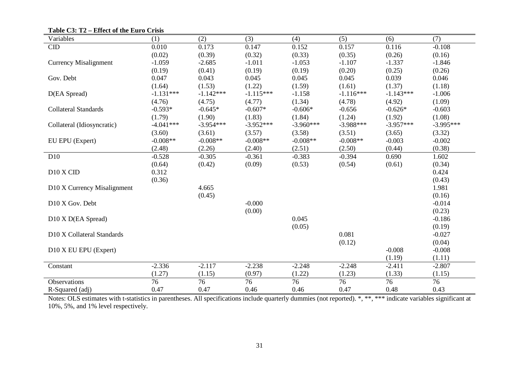| Variables                    | (1)         | (2)         | (3)         | (4)         | (5)         | (6)         | (7)         |
|------------------------------|-------------|-------------|-------------|-------------|-------------|-------------|-------------|
| CID                          | 0.010       | 0.173       | 0.147       | 0.152       | 0.157       | 0.116       | $-0.108$    |
|                              | (0.02)      | (0.39)      | (0.32)      | (0.33)      | (0.35)      | (0.26)      | (0.16)      |
| <b>Currency Misalignment</b> | $-1.059$    | $-2.685$    | $-1.011$    | $-1.053$    | $-1.107$    | $-1.337$    | $-1.846$    |
|                              | (0.19)      | (0.41)      | (0.19)      | (0.19)      | (0.20)      | (0.25)      | (0.26)      |
| Gov. Debt                    | 0.047       | 0.043       | 0.045       | 0.045       | 0.045       | 0.039       | 0.046       |
|                              | (1.64)      | (1.53)      | (1.22)      | (1.59)      | (1.61)      | (1.37)      | (1.18)      |
| D(EA Spread)                 | $-1.131***$ | $-1.142***$ | $-1.115***$ | $-1.158$    | $-1.116***$ | $-1.143***$ | $-1.006$    |
|                              | (4.76)      | (4.75)      | (4.77)      | (1.34)      | (4.78)      | (4.92)      | (1.09)      |
| <b>Collateral Standards</b>  | $-0.593*$   | $-0.645*$   | $-0.607*$   | $-0.606*$   | $-0.656$    | $-0.626*$   | $-0.603$    |
|                              | (1.79)      | (1.90)      | (1.83)      | (1.84)      | (1.24)      | (1.92)      | (1.08)      |
| Collateral (Idiosyncratic)   | $-4.041***$ | $-3.954***$ | $-3.952***$ | $-3.960***$ | $-3.988***$ | $-3.957***$ | $-3.995***$ |
|                              | (3.60)      | (3.61)      | (3.57)      | (3.58)      | (3.51)      | (3.65)      | (3.32)      |
| EU EPU (Expert)              | $-0.008**$  | $-0.008**$  | $-0.008**$  | $-0.008**$  | $-0.008**$  | $-0.003$    | $-0.002$    |
|                              | (2.48)      | (2.26)      | (2.40)      | (2.51)      | (2.50)      | (0.44)      | (0.38)      |
| D10                          | $-0.528$    | $-0.305$    | $-0.361$    | $-0.383$    | $-0.394$    | 0.690       | 1.602       |
|                              | (0.64)      | (0.42)      | (0.09)      | (0.53)      | (0.54)      | (0.61)      | (0.34)      |
| D10 X CID                    | 0.312       |             |             |             |             |             | 0.424       |
|                              | (0.36)      |             |             |             |             |             | (0.43)      |
| D10 X Currency Misalignment  |             | 4.665       |             |             |             |             | 1.981       |
|                              |             | (0.45)      |             |             |             |             | (0.16)      |
| D10 X Gov. Debt              |             |             | $-0.000$    |             |             |             | $-0.014$    |
|                              |             |             | (0.00)      |             |             |             | (0.23)      |
| D10 X D(EA Spread)           |             |             |             | 0.045       |             |             | $-0.186$    |
|                              |             |             |             | (0.05)      |             |             | (0.19)      |
| D10 X Collateral Standards   |             |             |             |             | 0.081       |             | $-0.027$    |
|                              |             |             |             |             | (0.12)      |             | (0.04)      |
| D10 X EU EPU (Expert)        |             |             |             |             |             | $-0.008$    | $-0.008$    |
|                              |             |             |             |             |             | (1.19)      | (1.11)      |
| Constant                     | $-2.336$    | $-2.117$    | $-2.238$    | $-2.248$    | $-2.248$    | $-2.411$    | $-2.807$    |
|                              | (1.27)      | (1.15)      | (0.97)      | (1.22)      | (1.23)      | (1.33)      | (1.15)      |
| Observations                 | 76          | 76          | 76          | 76          | 76          | 76          | 76          |
| R-Squared (adj)              | 0.47        | 0.47        | 0.46        | 0.46        | 0.47        | 0.48        | 0.43        |

**Table C3: T2 – Effect of the Euro Crisis**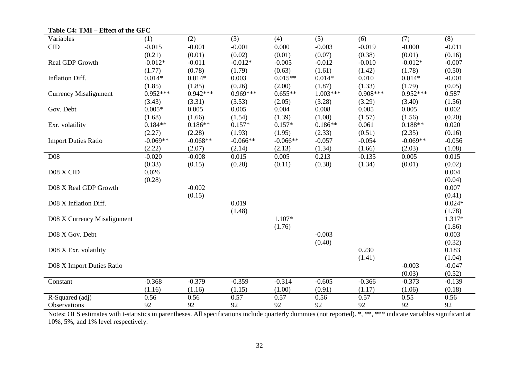| Variables                    | (1)        | (2)        | (3)        | (4)        | (5)        | (6)        | (7)        | (8)      |
|------------------------------|------------|------------|------------|------------|------------|------------|------------|----------|
| CID                          | $-0.015$   | $-0.001$   | $-0.001$   | 0.000      | $-0.003$   | $-0.019$   | $-0.000$   | $-0.011$ |
|                              | (0.21)     | (0.01)     | (0.02)     | (0.01)     | (0.07)     | (0.38)     | (0.01)     | (0.16)   |
| Real GDP Growth              | $-0.012*$  | $-0.011$   | $-0.012*$  | $-0.005$   | $-0.012$   | $-0.010$   | $-0.012*$  | $-0.007$ |
|                              | (1.77)     | (0.78)     | (1.79)     | (0.63)     | (1.61)     | (1.42)     | (1.78)     | (0.50)   |
| Inflation Diff.              | $0.014*$   | $0.014*$   | 0.003      | $0.015**$  | $0.014*$   | 0.010      | $0.014*$   | $-0.001$ |
|                              | (1.85)     | (1.85)     | (0.26)     | (2.00)     | (1.87)     | (1.33)     | (1.79)     | (0.05)   |
| <b>Currency Misalignment</b> | $0.952***$ | $0.942***$ | $0.969***$ | $0.655**$  | $1.003***$ | $0.908***$ | $0.952***$ | 0.587    |
|                              | (3.43)     | (3.31)     | (3.53)     | (2.05)     | (3.28)     | (3.29)     | (3.40)     | (1.56)   |
| Gov. Debt                    | $0.005*$   | 0.005      | 0.005      | 0.004      | 0.008      | 0.005      | 0.005      | 0.002    |
|                              | (1.68)     | (1.66)     | (1.54)     | (1.39)     | (1.08)     | (1.57)     | (1.56)     | (0.20)   |
| Exr. volatility              | $0.184**$  | $0.186**$  | $0.157*$   | $0.157*$   | $0.186**$  | 0.061      | $0.188**$  | 0.020    |
|                              | (2.27)     | (2.28)     | (1.93)     | (1.95)     | (2.33)     | (0.51)     | (2.35)     | (0.16)   |
| <b>Import Duties Ratio</b>   | $-0.069**$ | $-0.068**$ | $-0.066**$ | $-0.066**$ | $-0.057$   | $-0.054$   | $-0.069**$ | $-0.056$ |
|                              | (2.22)     | (2.07)     | (2.14)     | (2.13)     | (1.34)     | (1.66)     | (2.03)     | (1.08)   |
| <b>D08</b>                   | $-0.020$   | $-0.008$   | 0.015      | 0.005      | 0.213      | $-0.135$   | 0.005      | 0.015    |
|                              | (0.33)     | (0.15)     | (0.28)     | (0.11)     | (0.38)     | (1.34)     | (0.01)     | (0.02)   |
| D08 X CID                    | 0.026      |            |            |            |            |            |            | 0.004    |
|                              | (0.28)     |            |            |            |            |            |            | (0.04)   |
| D08 X Real GDP Growth        |            | $-0.002$   |            |            |            |            |            | 0.007    |
|                              |            | (0.15)     |            |            |            |            |            | (0.41)   |
| D08 X Inflation Diff.        |            |            | 0.019      |            |            |            |            | $0.024*$ |
|                              |            |            | (1.48)     |            |            |            |            | (1.78)   |
| D08 X Currency Misalignment  |            |            |            | $1.107*$   |            |            |            | 1.317*   |
|                              |            |            |            | (1.76)     |            |            |            | (1.86)   |
| D08 X Gov. Debt              |            |            |            |            | $-0.003$   |            |            | 0.003    |
|                              |            |            |            |            | (0.40)     |            |            | (0.32)   |
| D08 X Exr. volatility        |            |            |            |            |            | 0.230      |            | 0.183    |
|                              |            |            |            |            |            | (1.41)     |            | (1.04)   |
| D08 X Import Duties Ratio    |            |            |            |            |            |            | $-0.003$   | $-0.047$ |
|                              |            |            |            |            |            |            | (0.03)     | (0.52)   |
| Constant                     | $-0.368$   | $-0.379$   | $-0.359$   | $-0.314$   | $-0.605$   | $-0.366$   | $-0.373$   | $-0.139$ |
|                              | (1.16)     | (1.16)     | (1.15)     | (1.00)     | (0.91)     | (1.17)     | (1.06)     | (0.18)   |
| R-Squared (adj)              | 0.56       | 0.56       | 0.57       | 0.57       | 0.56       | 0.57       | 0.55       | 0.56     |
| Observations                 | 92         | 92         | 92         | 92         | 92         | 92         | 92         | 92       |

**Table C4: TMI – Effect of the GFC**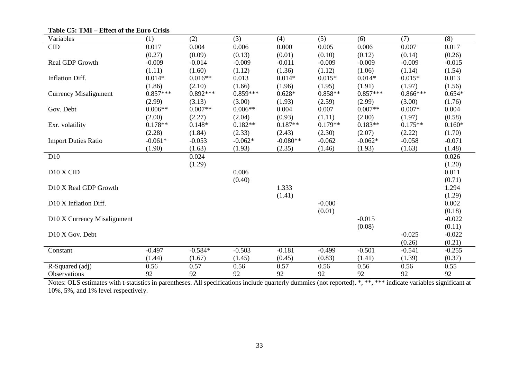| Variables                    | (1)        | (2)        | (3)        | (4)        | (5)       | (6)        | (7)        | (8)      |
|------------------------------|------------|------------|------------|------------|-----------|------------|------------|----------|
| CID                          | 0.017      | 0.004      | 0.006      | 0.000      | 0.005     | 0.006      | 0.007      | 0.017    |
|                              | (0.27)     | (0.09)     | (0.13)     | (0.01)     | (0.10)    | (0.12)     | (0.14)     | (0.26)   |
| Real GDP Growth              | $-0.009$   | $-0.014$   | $-0.009$   | $-0.011$   | $-0.009$  | $-0.009$   | $-0.009$   | $-0.015$ |
|                              | (1.11)     | (1.60)     | (1.12)     | (1.36)     | (1.12)    | (1.06)     | (1.14)     | (1.54)   |
| Inflation Diff.              | $0.014*$   | $0.016**$  | 0.013      | $0.014*$   | $0.015*$  | $0.014*$   | $0.015*$   | 0.013    |
|                              | (1.86)     | (2.10)     | (1.66)     | (1.96)     | (1.95)    | (1.91)     | (1.97)     | (1.56)   |
| <b>Currency Misalignment</b> | $0.857***$ | $0.892***$ | $0.859***$ | $0.628*$   | $0.858**$ | $0.857***$ | $0.866***$ | $0.654*$ |
|                              | (2.99)     | (3.13)     | (3.00)     | (1.93)     | (2.59)    | (2.99)     | (3.00)     | (1.76)   |
| Gov. Debt                    | $0.006**$  | $0.007**$  | $0.006**$  | 0.004      | 0.007     | $0.007**$  | $0.007*$   | 0.004    |
|                              | (2.00)     | (2.27)     | (2.04)     | (0.93)     | (1.11)    | (2.00)     | (1.97)     | (0.58)   |
| Exr. volatility              | $0.178**$  | $0.148*$   | $0.182**$  | $0.187**$  | $0.179**$ | $0.183**$  | $0.175**$  | $0.160*$ |
|                              | (2.28)     | (1.84)     | (2.33)     | (2.43)     | (2.30)    | (2.07)     | (2.22)     | (1.70)   |
| <b>Import Duties Ratio</b>   | $-0.061*$  | $-0.053$   | $-0.062*$  | $-0.080**$ | $-0.062$  | $-0.062*$  | $-0.058$   | $-0.071$ |
|                              | (1.90)     | (1.63)     | (1.93)     | (2.35)     | (1.46)    | (1.93)     | (1.63)     | (1.48)   |
| D <sub>10</sub>              |            | 0.024      |            |            |           |            |            | 0.026    |
|                              |            | (1.29)     |            |            |           |            |            | (1.20)   |
| D10 X CID                    |            |            | 0.006      |            |           |            |            | 0.011    |
|                              |            |            | (0.40)     |            |           |            |            | (0.71)   |
| D10 X Real GDP Growth        |            |            |            | 1.333      |           |            |            | 1.294    |
|                              |            |            |            | (1.41)     |           |            |            | (1.29)   |
| D10 X Inflation Diff.        |            |            |            |            | $-0.000$  |            |            | 0.002    |
|                              |            |            |            |            | (0.01)    |            |            | (0.18)   |
| D10 X Currency Misalignment  |            |            |            |            |           | $-0.015$   |            | $-0.022$ |
|                              |            |            |            |            |           | (0.08)     |            | (0.11)   |
| D10 X Gov. Debt              |            |            |            |            |           |            | $-0.025$   | $-0.022$ |
|                              |            |            |            |            |           |            | (0.26)     | (0.21)   |
| Constant                     | $-0.497$   | $-0.584*$  | $-0.503$   | $-0.181$   | $-0.499$  | $-0.501$   | $-0.541$   | $-0.255$ |
|                              | (1.44)     | (1.67)     | (1.45)     | (0.45)     | (0.83)    | (1.41)     | (1.39)     | (0.37)   |
| R-Squared (adj)              | 0.56       | 0.57       | 0.56       | 0.57       | 0.56      | 0.56       | 0.56       | 0.55     |
| Observations                 | 92         | 92         | 92         | 92         | 92        | 92         | 92         | 92       |

**Table C5: TMI – Effect of the Euro Crisis**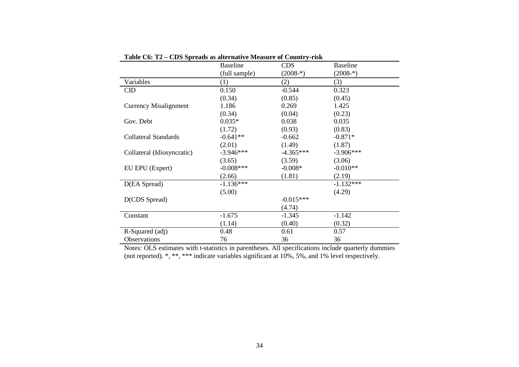|                              | <b>Baseline</b> | <b>CDS</b>  | <b>Baseline</b> |
|------------------------------|-----------------|-------------|-----------------|
|                              | (full sample)   | $(2008*)$   | $(2008 -*)$     |
| Variables                    | (1)             | (2)         | (3)             |
| $\rm CID$                    | 0.150           | $-0.544$    | 0.323           |
|                              | (0.34)          | (0.85)      | (0.45)          |
| <b>Currency Misalignment</b> | 1.186           | 0.269       | 1.425           |
|                              | (0.34)          | (0.04)      | (0.23)          |
| Gov. Debt                    | $0.035*$        | 0.038       | 0.035           |
|                              | (1.72)          | (0.93)      | (0.83)          |
| Collateral Standards         | $-0.641**$      | $-0.662$    | $-0.871*$       |
|                              | (2.01)          | (1.49)      | (1.87)          |
| Collateral (Idiosyncratic)   | $-3.946***$     | $-4.365***$ | $-3.906***$     |
|                              | (3.65)          | (3.59)      | (3.06)          |
| EU EPU (Expert)              | $-0.008***$     | $-0.008*$   | $-0.010**$      |
|                              | (2.66)          | (1.81)      | (2.19)          |
| D(EA Spread)                 | $-1.136***$     |             | $-1.132***$     |
|                              | (5.00)          |             | (4.29)          |
| D(CDS Spread)                |                 | $-0.015***$ |                 |
|                              |                 | (4.74)      |                 |
| Constant                     | $-1.675$        | $-1.345$    | $-1.142$        |
|                              | (1.14)          | (0.40)      | (0.32)          |
| R-Squared (adj)              | 0.48            | 0.61        | 0.57            |
| Observations                 | 76              | 36          | 36              |

**Table C6: T2 – CDS Spreads as alternative Measure of Country-risk**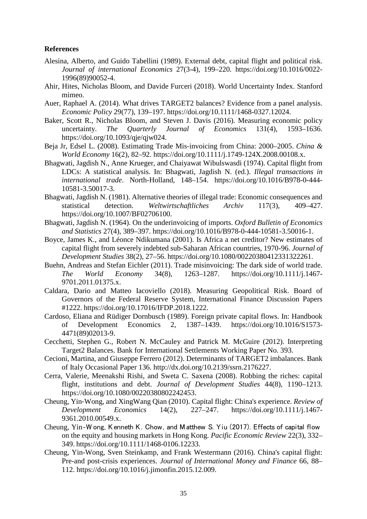## **References**

- Alesina, Alberto, and Guido Tabellini (1989). External debt, capital flight and political risk. *Journal of international Economics* 27(3-4), 199–220. https://doi.org/10.1016/0022- 1996(89)90052-4.
- Ahir, Hites, Nicholas Bloom, and Davide Furceri (2018). World Uncertainty Index. Stanford mimeo.
- Auer, Raphael A. (2014). What drives TARGET2 balances? Evidence from a panel analysis. *Economic Policy* 29(77), 139–197. https://doi.org/10.1111/1468-0327.12024.
- Baker, Scott R., Nicholas Bloom, and Steven J. Davis (2016). Measuring economic policy uncertainty. *The Quarterly Journal of Economics* 131(4), 1593–1636. https://doi.org/10.1093/qje/qjw024.
- Beja Jr, Edsel L. (2008). Estimating Trade Mis‐invoicing from China: 2000–2005. *China & World Economy* 16(2), 82–92. https://doi.org/10.1111/j.1749-124X.2008.00108.x.
- Bhagwati, Jagdish N., Anne Krueger, and Chaiyawat Wibulswasdi (1974). Capital flight from LDCs: A statistical analysis. In: Bhagwati, Jagdish N. (ed.). *Illegal transactions in international trade*. North-Holland, 148–154. https://doi.org/10.1016/B978-0-444- 10581-3.50017-3.
- Bhagwati, Jagdish N. (1981). Alternative theories of illegal trade: Economic consequences and statistical detection. *Weltwirtschaftliches Archiv* 117(3), 409–427. https://doi.org/10.1007/BF02706100.
- Bhagwati, Jagdish N. (1964). On the underinvoicing of imports. *Oxford Bulletin of Economics and Statistics* 27(4), 389–397. https://doi.org/10.1016/B978-0-444-10581-3.50016-1.
- Boyce, James K., and Léonce Ndikumana (2001). Is Africa a net creditor? New estimates of capital flight from severely indebted sub-Saharan African countries, 1970-96. *Journal of Development Studies* 38(2), 27–56. https://doi.org/10.1080/00220380412331322261.
- Buehn, Andreas and Stefan Eichler (2011). Trade misinvoicing: The dark side of world trade. *The World Economy* 34(8), 1263–1287. https://doi.org/10.1111/j.1467- 9701.2011.01375.x.
- Caldara, Dario and Matteo Iacoviello (2018). Measuring Geopolitical Risk. Board of Governors of the Federal Reserve System, International Finance Discussion Papers #1222. https://doi.org/10.17016/IFDP.2018.1222.
- Cardoso, Eliana and Rüdiger Dornbusch (1989). Foreign private capital flows. In: Handbook of Development Economics 2, 1387–1439. https://doi.org/10.1016/S1573- 4471(89)02013-9.
- Cecchetti, Stephen G., Robert N. McCauley and Patrick M. McGuire (2012). Interpreting Target2 Balances. Bank for International Settlements Working Paper No. 393.
- Cecioni, Martina, and Giuseppe Ferrero (2012). Determinants of TARGET2 imbalances. Bank of Italy Occasional Paper 136. http://dx.doi.org/10.2139/ssrn.2176227.
- Cerra, Valerie, Meenakshi Rishi, and Sweta C. Saxena (2008). Robbing the riches: capital flight, institutions and debt. *Journal of Development Studies* 44(8), 1190–1213. https://doi.org/10.1080/00220380802242453.
- Cheung, Yin‐Wong, and XingWang Qian (2010). Capital flight: China's experience. *Review of Development Economics* 14(2), 227–247. https://doi.org/10.1111/j.1467- 9361.2010.00549.x.
- Cheung, Yin‐W ong, Kenneth K. Chow, and Matthew S. Yiu (2017). Effects of capital flow on the equity and housing markets in Hong Kong. *Pacific Economic Review* 22(3), 332– 349. https://doi.org/10.1111/1468-0106.12233.
- Cheung, Yin-Wong, Sven Steinkamp, and Frank Westermann (2016). China's capital flight: Pre-and post-crisis experiences. *Journal of International Money and Finance* 66, 88– 112. https://doi.org/10.1016/j.jimonfin.2015.12.009.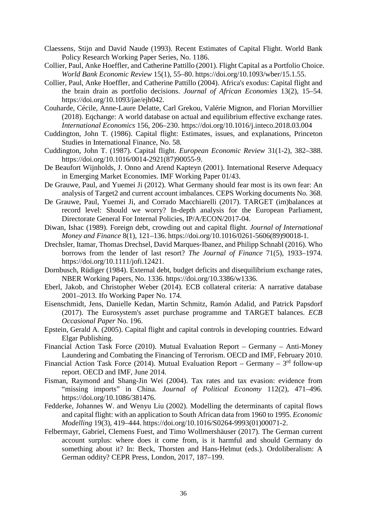- Claessens, Stijn and David Naude (1993). Recent Estimates of Capital Flight. World Bank Policy Research Working Paper Series, No. 1186.
- Collier, Paul, Anke Hoeffler, and Catherine Pattillo (2001). Flight Capital as a Portfolio Choice. *World Bank Economic Review* 15(1), 55–80. https://doi.org/10.1093/wber/15.1.55.
- Collier, Paul, Anke Hoeffler, and Catherine Pattillo (2004). Africa's exodus: Capital flight and the brain drain as portfolio decisions. *Journal of African Economies* 13(2), 15–54. https://doi.org/10.1093/jae/ejh042.
- Couharde, Cécile, Anne-Laure Delatte, Carl Grekou, Valérie Mignon, and Florian Morvillier (2018). Eqchange: A world database on actual and equilibrium effective exchange rates. *International Economics* 156, 206–230. https://doi.org/10.1016/j.inteco.2018.03.004
- Cuddington, John T. (1986). Capital flight: Estimates, issues, and explanations, Princeton Studies in International Finance, No. 58.
- Cuddington, John T. (1987). Capital flight. *European Economic Review* 31(1-2), 382–388. https://doi.org/10.1016/0014-2921(87)90055-9.
- De Beaufort Wijnholds, J. Onno and Arend Kapteyn (2001). International Reserve Adequacy in Emerging Market Economies. IMF Working Paper 01/43.
- De Grauwe, Paul, and Yuemei Ji (2012). What Germany should fear most is its own fear: An analysis of Target2 and current account imbalances. CEPS Working documents No. 368.
- De Grauwe, Paul, Yuemei Ji, and Corrado Macchiarelli (2017). TARGET (im)balances at record level: Should we worry? In-depth analysis for the European Parliament, Directorate General For Internal Policies, IP/A/ECON/2017-04.
- Diwan, Ishac (1989). Foreign debt, crowding out and capital flight. *Journal of International Money and Finance* 8(1), 121–136. https://doi.org/10.1016/0261-5606(89)90018-1.
- Drechsler, Itamar, Thomas Drechsel, David Marques‐Ibanez, and Philipp Schnabl (2016). Who borrows from the lender of last resort? *The Journal of Finance* 71(5), 1933–1974. https://doi.org/10.1111/jofi.12421.
- Dornbusch, Rüdiger (1984). External debt, budget deficits and disequilibrium exchange rates, NBER Working Papers, No. 1336. https://doi.org/10.3386/w1336.
- Eberl, Jakob, and Christopher Weber (2014). ECB collateral criteria: A narrative database 2001–2013. Ifo Working Paper No. 174.
- Eisenschmidt, Jens, Danielle Kedan, Martin Schmitz, Ramón Adalid, and Patrick Papsdorf (2017). The Eurosystem's asset purchase programme and TARGET balances. *ECB Occasional Paper* No. 196.
- Epstein, Gerald A. (2005). Capital flight and capital controls in developing countries. Edward Elgar Publishing.
- Financial Action Task Force (2010). Mutual Evaluation Report Germany Anti-Money Laundering and Combating the Financing of Terrorism. OECD and IMF, February 2010.
- Financial Action Task Force (2014). Mutual Evaluation Report Germany  $3<sup>rd</sup>$  follow-up report. OECD and IMF, June 2014.
- Fisman, Raymond and Shang-Jin Wei (2004). Tax rates and tax evasion: evidence from "missing imports" in China. *Journal of Political Economy* 112(2), 471–496. https://doi.org/10.1086/381476.
- Fedderke, Johannes W. and Wenyu Liu (2002). Modelling the determinants of capital flows and capital flight: with an application to South African data from 1960 to 1995. *Economic Modelling* 19(3), 419–444. https://doi.org/10.1016/S0264-9993(01)00071-2.
- Felbermayr, Gabriel, Clemens Fuest, and Timo Wollmershäuser (2017). The German current account surplus: where does it come from, is it harmful and should Germany do something about it? In: Beck, Thorsten and Hans-Helmut (eds.). Ordoliberalism: A German oddity? CEPR Press, London, 2017, 187–199.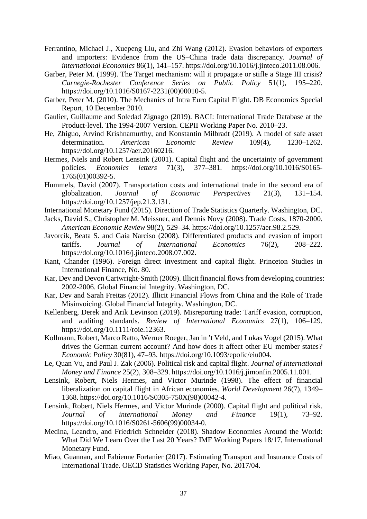- Ferrantino, Michael J., Xuepeng Liu, and Zhi Wang (2012). Evasion behaviors of exporters and importers: Evidence from the US–China trade data discrepancy. *Journal of international Economics* 86(1), 141–157. https://doi.org/10.1016/j.jinteco.2011.08.006.
- Garber, Peter M. (1999). The Target mechanism: will it propagate or stifle a Stage III crisis? *Carnegie-Rochester Conference Series on Public Policy* 51(1), 195–220. https://doi.org/10.1016/S0167-2231(00)00010-5.
- Garber, Peter M. (2010). The Mechanics of Intra Euro Capital Flight. DB Economics Special Report, 10 December 2010.
- Gaulier, Guillaume and Soledad Zignago (2019). BACI: International Trade Database at the Product-level. The 1994-2007 Version. CEPII Working Paper No. 2010–23.
- He, Zhiguo, Arvind Krishnamurthy, and Konstantin Milbradt (2019). A model of safe asset determination. *American Economic Review* 109(4), 1230–1262. https://doi.org/10.1257/aer.20160216.
- Hermes, Niels and Robert Lensink (2001). Capital flight and the uncertainty of government policies. *Economics letters* 71(3), 377–381. https://doi.org/10.1016/S0165- 1765(01)00392-5.
- Hummels, David (2007). Transportation costs and international trade in the second era of globalization. *Journal of Economic Perspectives* 21(3), 131–154. https://doi.org/10.1257/jep.21.3.131.
- International Monetary Fund (2015). Direction of Trade Statistics Quarterly. Washington, DC.
- Jacks, David S., Christopher M. Meissner, and Dennis Novy (2008). Trade Costs, 1870-2000. *American Economic Review* 98(2), 529–34. https://doi.org/10.1257/aer.98.2.529.
- Javorcik, Beata S. and Gaia Narciso (2008). Differentiated products and evasion of import tariffs. *Journal of International Economics* 76(2), 208–222. https://doi.org/10.1016/j.jinteco.2008.07.002.
- Kant, Chander (1996). Foreign direct investment and capital flight. Princeton Studies in International Finance, No. 80.
- Kar, Dev and Devon Cartwright-Smith (2009). Illicit financial flows from developing countries: 2002-2006. Global Financial Integrity. Washington, DC.
- Kar, Dev and Sarah Freitas (2012). Illicit Financial Flows from China and the Role of Trade Misinvoicing. Global Financial Integrity. Washington, DC.
- Kellenberg, Derek and Arik Levinson (2019). Misreporting trade: Tariff evasion, corruption, and auditing standards. *Review of International Economics* 27(1), 106–129. https://doi.org/10.1111/roie.12363.
- Kollmann, Robert, Marco Ratto, Werner Roeger, Jan in 't Veld, and Lukas Vogel (2015). What drives the German current account? And how does it affect other EU member states*? Economic Policy* 30(81), 47–93. https://doi.org/10.1093/epolic/eiu004.
- Le, Quan Vu, and Paul J. Zak (2006). Political risk and capital flight. *Journal of International Money and Finance* 25(2), 308–329. https://doi.org/10.1016/j.jimonfin.2005.11.001.
- Lensink, Robert, Niels Hermes, and Victor Murinde (1998). The effect of financial liberalization on capital flight in African economies. *World Development* 26(7), 1349– 1368. https://doi.org/10.1016/S0305-750X(98)00042-4.
- Lensink, Robert, Niels Hermes, and Victor Murinde (2000). Capital flight and political risk. *Journal of international Money and Finance* 19(1), 73–92. https://doi.org/10.1016/S0261-5606(99)00034-0.
- Medina, Leandro, and Friedrich Schneider (2018). Shadow Economies Around the World: What Did We Learn Over the Last 20 Years? IMF Working Papers 18/17, International Monetary Fund.
- Miao, Guannan, and Fabienne Fortanier (2017). Estimating Transport and Insurance Costs of International Trade. OECD Statistics Working Paper, No. 2017/04.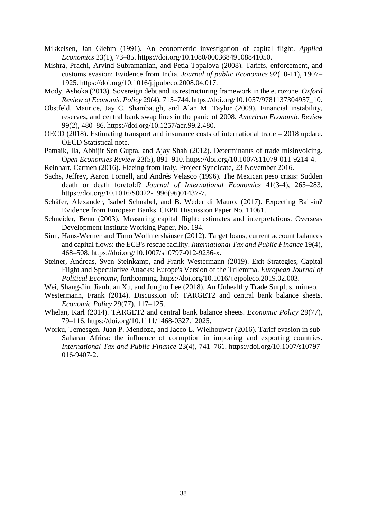- Mikkelsen, Jan Giehm (1991). An econometric investigation of capital flight. *Applied Economics* 23(1), 73–85. https://doi.org/10.1080/00036849108841050.
- Mishra, Prachi, Arvind Subramanian, and Petia Topalova (2008). Tariffs, enforcement, and customs evasion: Evidence from India. *Journal of public Economics* 92(10-11), 1907– 1925. https://doi.org/10.1016/j.jpubeco.2008.04.017.
- Mody, Ashoka (2013). Sovereign debt and its restructuring framework in the eurozone. *Oxford Review of Economic Policy* 29(4), 715–744. https://doi.org/10.1057/9781137304957\_10.
- Obstfeld, Maurice, Jay C. Shambaugh, and Alan M. Taylor (2009). Financial instability, reserves, and central bank swap lines in the panic of 2008. *American Economic Review* 99(2), 480–86. https://doi.org/10.1257/aer.99.2.480.
- OECD (2018). Estimating transport and insurance costs of international trade 2018 update. OECD Statistical note.
- Patnaik, Ila, Abhijit Sen Gupta, and Ajay Shah (2012). Determinants of trade misinvoicing. O*pen Economies Review* 23(5), 891–910. https://doi.org/10.1007/s11079-011-9214-4.
- Reinhart, Carmen (2016). Fleeing from Italy. Project Syndicate, 23 November 2016.
- Sachs, Jeffrey, Aaron Tornell, and Andrés Velasco (1996). The Mexican peso crisis: Sudden death or death foretold? *Journal of International Economics* 41(3-4), 265–283. https://doi.org/10.1016/S0022-1996(96)01437-7.
- Schäfer, Alexander, Isabel Schnabel, and B. Weder di Mauro. (2017). Expecting Bail-in? Evidence from European Banks. CEPR Discussion Paper No. 11061.
- Schneider, Benu (2003). Measuring capital flight: estimates and interpretations. Overseas Development Institute Working Paper, No. 194.
- Sinn, Hans-Werner and Timo Wollmershäuser (2012). Target loans, current account balances and capital flows: the ECB's rescue facility. *International Tax and Public Finance* 19(4), 468–508. https://doi.org/10.1007/s10797-012-9236-x.
- Steiner, Andreas, Sven Steinkamp, and Frank Westermann (2019). Exit Strategies, Capital Flight and Speculative Attacks: Europe's Version of the Trilemma. *European Journal of Political Economy*, forthcoming. https://doi.org/10.1016/j.ejpoleco.2019.02.003.
- Wei, Shang-Jin, Jianhuan Xu, and Jungho Lee (2018). An Unhealthy Trade Surplus. mimeo.
- Westermann, Frank (2014). Discussion of: TARGET2 and central bank balance sheets. *Economic Policy* 29(77), 117–125.
- Whelan, Karl (2014). TARGET2 and central bank balance sheets. *Economic Policy* 29(77), 79–116. https://doi.org/10.1111/1468-0327.12025.
- Worku, Temesgen, Juan P. Mendoza, and Jacco L. Wielhouwer (2016). Tariff evasion in sub-Saharan Africa: the influence of corruption in importing and exporting countries. *International Tax and Public Finance* 23(4), 741–761. https://doi.org/10.1007/s10797- 016-9407-2.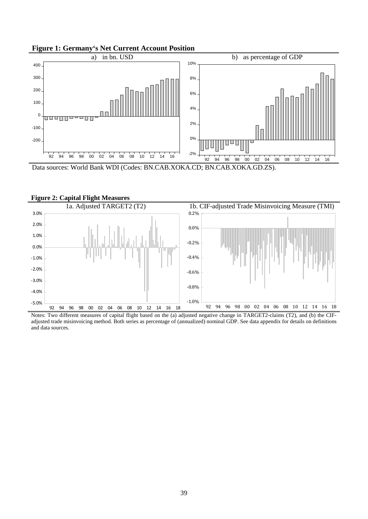



Data sources: World Bank WDI (Codes: BN.CAB.XOKA.CD; BN.CAB.XOKA.GD.ZS).



**Figure 2: Capital Flight Measures** 

Notes: Two different measures of capital flight based on the (a) adjusted negative change in TARGET2-claims (T2), and (b) the CIFadjusted trade misinvoicing method. Both series as percentage of (annualized) nominal GDP. See data appendix for details on definitions and data sources.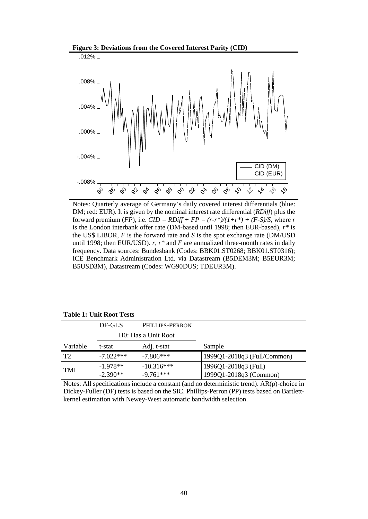



Notes: Quarterly average of Germany's daily covered interest differentials (blue: DM; red: EUR). It is given by the nominal interest rate differential (*RDiff*) plus the forward premium (*FP*), i.e.  $CID = RDiff + FP = (r-r*)/(1+r*) + (F-S)/S$ , where *r* is the London interbank offer rate (DM-based until 1998; then EUR-based), *r\** is the US\$ LIBOR, *F* is the forward rate and *S* is the spot exchange rate (DM/USD until 1998; then EUR/USD). *r*, *r\** and *F* are annualized three-month rates in daily frequency. Data sources: Bundesbank (Codes: BBK01.ST0268; BBK01.ST0316); ICE Benchmark Administration Ltd. via Datastream (B5DEM3M; B5EUR3M; B5USD3M), Datastream (Codes: WG90DUS; TDEUR3M).

|                | DF-GLS      | <b>PHILLIPS-PERRON</b> |                             |
|----------------|-------------|------------------------|-----------------------------|
|                |             | H0: Has a Unit Root    |                             |
| Variable       | t-stat      | Adj. t-stat            | Sample                      |
| T <sub>2</sub> | $-7.022***$ | $-7.806***$            | 1999Q1-2018q3 (Full/Common) |
| <b>TMI</b>     | $-1.978**$  | $-10.316***$           | 1996Q1-2018q3 (Full)        |
|                | $-2.390**$  | $-9.761***$            | 1999Q1-2018q3 (Common)      |

**Table 1: Unit Root Tests**

Notes: All specifications include a constant (and no deterministic trend). AR(p)-choice in Dickey-Fuller (DF) tests is based on the SIC. Phillips-Perron (PP) tests based on Bartlettkernel estimation with Newey-West automatic bandwidth selection.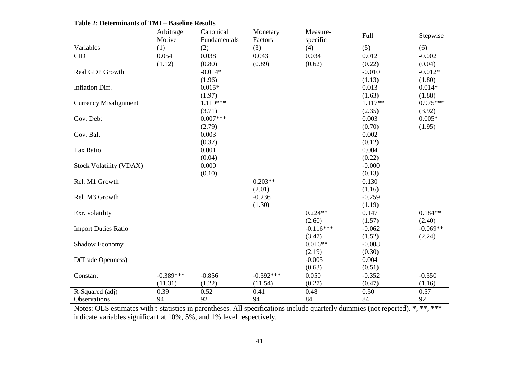|                                | Arbitrage   | Canonical    | Monetary    | Measure-    | Full      |            |
|--------------------------------|-------------|--------------|-------------|-------------|-----------|------------|
|                                | Motive      | Fundamentals | Factors     | specific    |           | Stepwise   |
| Variables                      | (1)         | (2)          | (3)         | (4)         | (5)       | (6)        |
| <b>CID</b>                     | 0.054       | 0.038        | 0.043       | 0.034       | 0.012     | $-0.002$   |
|                                | (1.12)      | (0.80)       | (0.89)      | (0.62)      | (0.22)    | (0.04)     |
| Real GDP Growth                |             | $-0.014*$    |             |             | $-0.010$  | $-0.012*$  |
|                                |             | (1.96)       |             |             | (1.13)    | (1.80)     |
| <b>Inflation Diff.</b>         |             | $0.015*$     |             |             | 0.013     | $0.014*$   |
|                                |             | (1.97)       |             |             | (1.63)    | (1.88)     |
| <b>Currency Misalignment</b>   |             | $1.119***$   |             |             | $1.117**$ | $0.975***$ |
|                                |             | (3.71)       |             |             | (2.35)    | (3.92)     |
| Gov. Debt                      |             | $0.007***$   |             |             | 0.003     | $0.005*$   |
|                                |             | (2.79)       |             |             | (0.70)    | (1.95)     |
| Gov. Bal.                      |             | 0.003        |             |             | 0.002     |            |
|                                |             | (0.37)       |             |             | (0.12)    |            |
| Tax Ratio                      |             | 0.001        |             |             | 0.004     |            |
|                                |             | (0.04)       |             |             | (0.22)    |            |
| <b>Stock Volatility (VDAX)</b> |             | 0.000        |             |             | $-0.000$  |            |
|                                |             | (0.10)       |             |             | (0.13)    |            |
| Rel. M1 Growth                 |             |              | $0.203**$   |             | 0.130     |            |
|                                |             |              | (2.01)      |             | (1.16)    |            |
| Rel. M3 Growth                 |             |              | $-0.236$    |             | $-0.259$  |            |
|                                |             |              | (1.30)      |             | (1.19)    |            |
| Exr. volatility                |             |              |             | $0.224**$   | 0.147     | $0.184**$  |
|                                |             |              |             | (2.60)      | (1.57)    | (2.40)     |
| <b>Import Duties Ratio</b>     |             |              |             | $-0.116***$ | $-0.062$  | $-0.069**$ |
|                                |             |              |             | (3.47)      | (1.52)    | (2.24)     |
| Shadow Economy                 |             |              |             | $0.016**$   | $-0.008$  |            |
|                                |             |              |             | (2.19)      | (0.30)    |            |
| D(Trade Openness)              |             |              |             | $-0.005$    | 0.004     |            |
|                                |             |              |             | (0.63)      | (0.51)    |            |
| Constant                       | $-0.389***$ | $-0.856$     | $-0.392***$ | 0.050       | $-0.352$  | $-0.350$   |
|                                | (11.31)     | (1.22)       | (11.54)     | (0.27)      | (0.47)    | (1.16)     |
| R-Squared (adj)                | 0.39        | 0.52         | 0.41        | 0.48        | 0.50      | 0.57       |
| Observations                   | 94          | 92           | 94          | 84          | 84        | 92         |

**Table 2: Determinants of TMI – Baseline Results**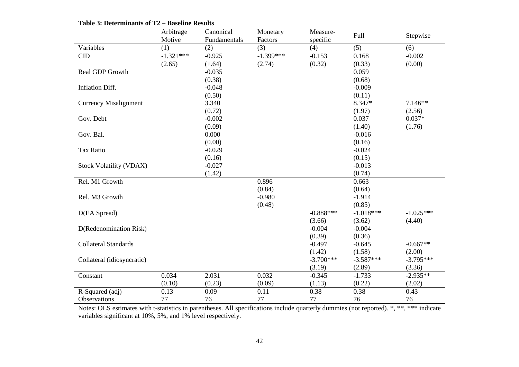|                                | Arbitrage   | Canonical    | Monetary    | Measure-    | <b>Full</b> |             |
|--------------------------------|-------------|--------------|-------------|-------------|-------------|-------------|
|                                | Motive      | Fundamentals | Factors     | specific    |             | Stepwise    |
| Variables                      | (1)         | (2)          | (3)         | (4)         | (5)         | (6)         |
| $\rm CID$                      | $-1.321***$ | $-0.925$     | $-1.399***$ | $-0.153$    | 0.168       | $-0.002$    |
|                                | (2.65)      | (1.64)       | (2.74)      | (0.32)      | (0.33)      | (0.00)      |
| Real GDP Growth                |             | $-0.035$     |             |             | 0.059       |             |
|                                |             | (0.38)       |             |             | (0.68)      |             |
| Inflation Diff.                |             | $-0.048$     |             |             | $-0.009$    |             |
|                                |             | (0.50)       |             |             | (0.11)      |             |
| <b>Currency Misalignment</b>   |             | 3.340        |             |             | 8.347*      | $7.146**$   |
|                                |             | (0.72)       |             |             | (1.97)      | (2.56)      |
| Gov. Debt                      |             | $-0.002$     |             |             | 0.037       | $0.037*$    |
|                                |             | (0.09)       |             |             | (1.40)      | (1.76)      |
| Gov. Bal.                      |             | 0.000        |             |             | $-0.016$    |             |
|                                |             | (0.00)       |             |             | (0.16)      |             |
| <b>Tax Ratio</b>               |             | $-0.029$     |             |             | $-0.024$    |             |
|                                |             | (0.16)       |             |             | (0.15)      |             |
| <b>Stock Volatility (VDAX)</b> |             | $-0.027$     |             |             | $-0.013$    |             |
|                                |             | (1.42)       |             |             | (0.74)      |             |
| Rel. M1 Growth                 |             |              | 0.896       |             | 0.663       |             |
|                                |             |              | (0.84)      |             | (0.64)      |             |
| Rel. M3 Growth                 |             |              | $-0.980$    |             | $-1.914$    |             |
|                                |             |              | (0.48)      |             | (0.85)      |             |
| D(EA Spread)                   |             |              |             | $-0.888***$ | $-1.018***$ | $-1.025***$ |
|                                |             |              |             | (3.66)      | (3.62)      | (4.40)      |
| D(Redenomination Risk)         |             |              |             | $-0.004$    | $-0.004$    |             |
|                                |             |              |             | (0.39)      | (0.36)      |             |
| <b>Collateral Standards</b>    |             |              |             | $-0.497$    | $-0.645$    | $-0.667**$  |
|                                |             |              |             | (1.42)      | (1.58)      | (2.00)      |
| Collateral (idiosyncratic)     |             |              |             | $-3.700***$ | $-3.587***$ | $-3.795***$ |
|                                |             |              |             | (3.19)      | (2.89)      | (3.36)      |
| Constant                       | 0.034       | 2.031        | 0.032       | $-0.345$    | $-1.733$    | $-2.935**$  |
|                                | (0.10)      | (0.23)       | (0.09)      | (1.13)      | (0.22)      | (2.02)      |
| R-Squared (adj)                | 0.13        | 0.09         | 0.11        | 0.38        | 0.38        | 0.43        |
| Observations                   | 77          | 76           | 77          | 77          | 76          | 76          |

**Table 3: Determinants of T2 – Baseline Results**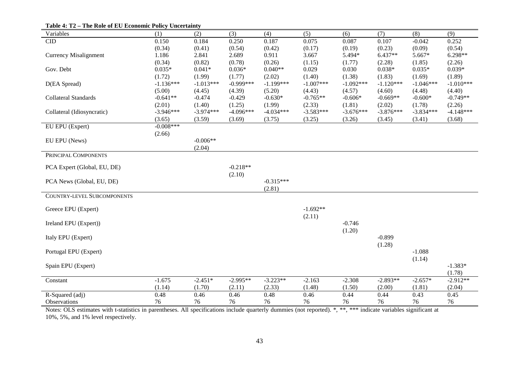| Variables                          | (1)         | (2)         | (3)         | (4)         | (5)         | (6)         | (7)         | (8)         | (9)         |
|------------------------------------|-------------|-------------|-------------|-------------|-------------|-------------|-------------|-------------|-------------|
| <b>CID</b>                         | 0.150       | 0.184       | 0.250       | 0.187       | 0.075       | 0.087       | 0.107       | $-0.042$    | 0.252       |
|                                    | (0.34)      | (0.41)      | (0.54)      | (0.42)      | (0.17)      | (0.19)      | (0.23)      | (0.09)      | (0.54)      |
| <b>Currency Misalignment</b>       | 1.186       | 2.841       | 2.689       | 0.911       | 3.667       | 5.494*      | $6.437**$   | 5.667*      | $6.298**$   |
|                                    | (0.34)      | (0.82)      | (0.78)      | (0.26)      | (1.15)      | (1.77)      | (2.28)      | (1.85)      | (2.26)      |
| Gov. Debt                          | $0.035*$    | $0.041*$    | $0.036*$    | $0.040**$   | 0.029       | 0.030       | $0.038*$    | $0.035*$    | $0.039*$    |
|                                    | (1.72)      | (1.99)      | (1.77)      | (2.02)      | (1.40)      | (1.38)      | (1.83)      | (1.69)      | (1.89)      |
| D(EA Spread)                       | $-1.136***$ | $-1.013***$ | $-0.999***$ | $-1.199***$ | $-1.007***$ | $-1.092***$ | $-1.120***$ | $-1.046***$ | $-1.010***$ |
|                                    | (5.00)      | (4.45)      | (4.39)      | (5.20)      | (4.43)      | (4.57)      | (4.60)      | (4.48)      | (4.40)      |
| <b>Collateral Standards</b>        | $-0.641**$  | $-0.474$    | $-0.429$    | $-0.630*$   | $-0.765**$  | $-0.606*$   | $-0.669**$  | $-0.600*$   | $-0.749**$  |
|                                    | (2.01)      | (1.40)      | (1.25)      | (1.99)      | (2.33)      | (1.81)      | (2.02)      | (1.78)      | (2.26)      |
| Collateral (Idiosyncratic)         | $-3.946***$ | $-3.974***$ | $-4.096***$ | $-4.034***$ | $-3.583***$ | $-3.676***$ | $-3.876***$ | $-3.834***$ | $-4.148***$ |
|                                    | (3.65)      | (3.59)      | (3.69)      | (3.75)      | (3.25)      | (3.26)      | (3.45)      | (3.41)      | (3.68)      |
| EU EPU (Expert)                    | $-0.008***$ |             |             |             |             |             |             |             |             |
|                                    | (2.66)      |             |             |             |             |             |             |             |             |
| EU EPU (News)                      |             | $-0.006**$  |             |             |             |             |             |             |             |
|                                    |             | (2.04)      |             |             |             |             |             |             |             |
| PRINCIPAL COMPONENTS               |             |             |             |             |             |             |             |             |             |
|                                    |             |             |             |             |             |             |             |             |             |
| PCA Expert (Global, EU, DE)        |             |             | $-0.218**$  |             |             |             |             |             |             |
|                                    |             |             | (2.10)      |             |             |             |             |             |             |
| PCA News (Global, EU, DE)          |             |             |             | $-0.315***$ |             |             |             |             |             |
|                                    |             |             |             | (2.81)      |             |             |             |             |             |
| <b>COUNTRY-LEVEL SUBCOMPONENTS</b> |             |             |             |             |             |             |             |             |             |
|                                    |             |             |             |             | $-1.692**$  |             |             |             |             |
| Greece EPU (Expert)                |             |             |             |             |             |             |             |             |             |
|                                    |             |             |             |             | (2.11)      |             |             |             |             |
| Ireland EPU (Expert))              |             |             |             |             |             | $-0.746$    |             |             |             |
|                                    |             |             |             |             |             | (1.20)      |             |             |             |
| Italy EPU (Expert)                 |             |             |             |             |             |             | $-0.899$    |             |             |
|                                    |             |             |             |             |             |             | (1.28)      |             |             |
| Portugal EPU (Expert)              |             |             |             |             |             |             |             | $-1.088$    |             |
|                                    |             |             |             |             |             |             |             | (1.14)      |             |
| Spain EPU (Expert)                 |             |             |             |             |             |             |             |             | $-1.383*$   |
|                                    |             |             |             |             |             |             |             |             | (1.78)      |
| Constant                           | $-1.675$    | $-2.451*$   | $-2.995**$  | $-3.223**$  | $-2.163$    | $-2.308$    | $-2.893**$  | $-2.657*$   | $-2.912**$  |
|                                    | (1.14)      | (1.70)      | (2.11)      | (2.33)      | (1.48)      | (1.50)      | (2.00)      | (1.81)      | (2.04)      |
| R-Squared (adj)                    | 0.48        | 0.46        | 0.46        | 0.48        | 0.46        | 0.44        | 0.44        | 0.43        | 0.45        |
| Observations                       | 76          | 76          | 76          | 76          | 76          | 76          | 76          | 76          | 76          |

**Table 4: T2 – The Role of EU Economic Policy Uncertainty**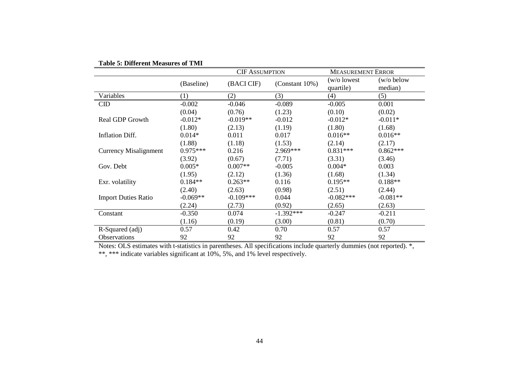|                              |                  | <b>CIF ASSUMPTION</b> |                    | <b>MEASUREMENT ERROR</b>  |                       |  |
|------------------------------|------------------|-----------------------|--------------------|---------------------------|-----------------------|--|
|                              | (Baseline)       | (BACI CIF)            | (Constant $10\%$ ) | (w/o lowest)<br>quartile) | (w/o below<br>median) |  |
| Variables                    | $\left(1\right)$ | (2)                   | (3)                | (4)                       | (5)                   |  |
| CID                          | $-0.002$         | $-0.046$              | $-0.089$           | $-0.005$                  | 0.001                 |  |
|                              | (0.04)           | (0.76)                | (1.23)             | (0.10)                    | (0.02)                |  |
| <b>Real GDP Growth</b>       | $-0.012*$        | $-0.019**$            | $-0.012$           | $-0.012*$                 | $-0.011*$             |  |
|                              | (1.80)           | (2.13)                | (1.19)             | (1.80)                    | (1.68)                |  |
| <b>Inflation Diff.</b>       | $0.014*$         | 0.011                 | 0.017              | $0.016**$                 | $0.016**$             |  |
|                              | (1.88)           | (1.18)                | (1.53)             | (2.14)                    | (2.17)                |  |
| <b>Currency Misalignment</b> | $0.975***$       | 0.216                 | 2.969***           | $0.831***$                | $0.862***$            |  |
|                              | (3.92)           | (0.67)                | (7.71)             | (3.31)                    | (3.46)                |  |
| Gov. Debt                    | $0.005*$         | $0.007**$             | $-0.005$           | $0.004*$                  | 0.003                 |  |
|                              | (1.95)           | (2.12)                | (1.36)             | (1.68)                    | (1.34)                |  |
| Exr. volatility              | $0.184**$        | $0.263**$             | 0.116              | $0.195**$                 | $0.188**$             |  |
|                              | (2.40)           | (2.63)                | (0.98)             | (2.51)                    | (2.44)                |  |
| <b>Import Duties Ratio</b>   | $-0.069**$       | $-0.109***$           | 0.044              | $-0.082***$               | $-0.081**$            |  |
|                              | (2.24)           | (2.73)                | (0.92)             | (2.65)                    | (2.63)                |  |
| Constant                     | $-0.350$         | 0.074                 | $-1.392***$        | $-0.247$                  | $-0.211$              |  |
|                              | (1.16)           | (0.19)                | (3.00)             | (0.81)                    | (0.70)                |  |
| R-Squared (adj)              | 0.57             | 0.42                  | 0.70               | 0.57                      | 0.57                  |  |
| Observations                 | 92               | 92                    | 92                 | 92                        | 92                    |  |

| <b>Table 5: Different Measures of TMI</b> |  |  |
|-------------------------------------------|--|--|
|-------------------------------------------|--|--|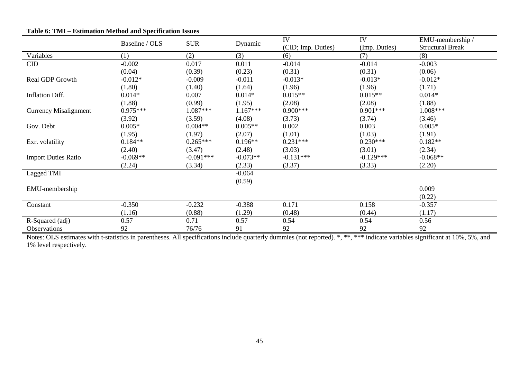|                              |                |             |            | IV                 | IV            | EMU-membership /        |
|------------------------------|----------------|-------------|------------|--------------------|---------------|-------------------------|
|                              | Baseline / OLS | <b>SUR</b>  | Dynamic    | (CID; Imp. Duties) | (Imp. Duties) | <b>Structural Break</b> |
| Variables                    | (1)            | (2)         | (3)        | (6)                | (7)           | (8)                     |
| $\overline{\text{CID}}$      | $-0.002$       | 0.017       | 0.011      | $-0.014$           | $-0.014$      | $-0.003$                |
|                              | (0.04)         | (0.39)      | (0.23)     | (0.31)             | (0.31)        | (0.06)                  |
| Real GDP Growth              | $-0.012*$      | $-0.009$    | $-0.011$   | $-0.013*$          | $-0.013*$     | $-0.012*$               |
|                              | (1.80)         | (1.40)      | (1.64)     | (1.96)             | (1.96)        | (1.71)                  |
| Inflation Diff.              | $0.014*$       | 0.007       | $0.014*$   | $0.015**$          | $0.015**$     | $0.014*$                |
|                              | (1.88)         | (0.99)      | (1.95)     | (2.08)             | (2.08)        | (1.88)                  |
| <b>Currency Misalignment</b> | $0.975***$     | $1.087***$  | $1.167***$ | $0.900***$         | $0.901***$    | 1.008***                |
|                              | (3.92)         | (3.59)      | (4.08)     | (3.73)             | (3.74)        | (3.46)                  |
| Gov. Debt                    | $0.005*$       | $0.004**$   | $0.005**$  | 0.002              | 0.003         | $0.005*$                |
|                              | (1.95)         | (1.97)      | (2.07)     | (1.01)             | (1.03)        | (1.91)                  |
| Exr. volatility              | $0.184**$      | $0.265***$  | $0.196**$  | $0.231***$         | $0.230***$    | $0.182**$               |
|                              | (2.40)         | (3.47)      | (2.48)     | (3.03)             | (3.01)        | (2.34)                  |
| <b>Import Duties Ratio</b>   | $-0.069**$     | $-0.091***$ | $-0.073**$ | $-0.131***$        | $-0.129***$   | $-0.068**$              |
|                              | (2.24)         | (3.34)      | (2.33)     | (3.37)             | (3.33)        | (2.20)                  |
| Lagged TMI                   |                |             | $-0.064$   |                    |               |                         |
|                              |                |             | (0.59)     |                    |               |                         |
| EMU-membership               |                |             |            |                    |               | 0.009                   |
|                              |                |             |            |                    |               | (0.22)                  |
| Constant                     | $-0.350$       | $-0.232$    | $-0.388$   | 0.171              | 0.158         | $-0.357$                |
|                              | (1.16)         | (0.88)      | (1.29)     | (0.48)             | (0.44)        | (1.17)                  |
| R-Squared (adj)              | 0.57           | 0.71        | 0.57       | 0.54               | 0.54          | 0.56                    |
| Observations                 | 92             | 76/76       | 91         | 92                 | 92            | 92                      |

## **Table 6: TMI – Estimation Method and Specification Issues**